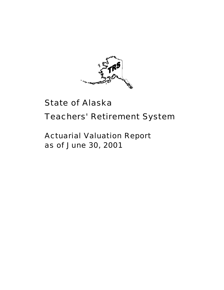

# State of Alaska

# Teachers' Retirement System

# Actuarial Valuation Report as of June 30, 2001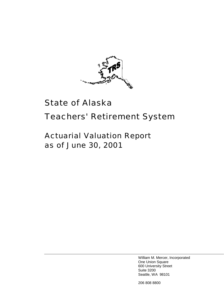

# State of Alaska

# Teachers' Retirement System

# Actuarial Valuation Report as of June 30, 2001

William M. Mercer, Incorporated One Union Square 600 University Street Suite 3200 Seattle, WA 98101

206 808 8800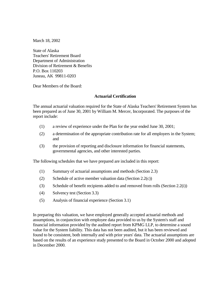March 18, 2002

State of Alaska Teachers' Retirement Board Department of Administration Division of Retirement & Benefits P.O. Box 110203 Juneau, AK 99811-0203

Dear Members of the Board:

#### **Actuarial Certification**

The annual actuarial valuation required for the State of Alaska Teachers' Retirement System has been prepared as of June 30, 2001 by William M. Mercer, Incorporated. The purposes of the report include:

- (1) a review of experience under the Plan for the year ended June 30, 2001;
- (2) a determination of the appropriate contribution rate for all employers in the System; and
- (3) the provision of reporting and disclosure information for financial statements, governmental agencies, and other interested parties.

The following schedules that we have prepared are included in this report:

- (1) Summary of actuarial assumptions and methods (Section 2.3)
- (2) Schedule of active member valuation data (Section  $2.2(c)$ )
- (3) Schedule of benefit recipients added to and removed from rolls (Section 2.2(i))
- (4) Solvency test (Section 3.3)
- (5) Analysis of financial experience (Section 3.1)

In preparing this valuation, we have employed generally accepted actuarial methods and assumptions, in conjunction with employee data provided to us by the System's staff and financial information provided by the audited report from KPMG LLP, to determine a sound value for the System liability. This data has not been audited, but it has been reviewed and found to be consistent, both internally and with prior years' data. The actuarial assumptions are based on the results of an experience study presented to the Board in October 2000 and adopted in December 2000.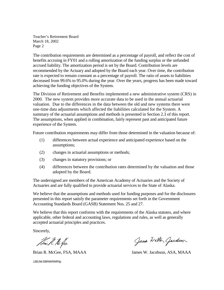Teacher's Retirement Board March 18, 2002 Page 2

The contribution requirements are determined as a percentage of payroll, and reflect the cost of benefits accruing in FY01 and a rolling amortization of the funding surplus or the unfunded accrued liability. The amortization period is set by the Board. Contribution levels are recommended by the Actuary and adopted by the Board each year. Over time, the contribution rate is expected to remain constant as a percentage of payroll. The ratio of assets to liabilities decreased from 99.6% to 95.0% during the year. Over the years, progress has been made toward achieving the funding objectives of the System.

The Division of Retirement and Benefits implemented a new administrative system (CRS) in 2000. The new system provides more accurate data to be used in the annual actuarial valuation. Due to the differences in the data between the old and new systems there were one-time data adjustments which affected the liabilities calculated for the System. A summary of the actuarial assumptions and methods is presented in Section 2.3 of this report. The assumptions, when applied in combination, fairly represent past and anticipated future experience of the System.

Future contribution requirements may differ from those determined in the valuation because of:

- (1) differences between actual experience and anticipated experience based on the assumptions;
- (2) changes in actuarial assumptions or methods;
- (3) changes in statutory provisions; or
- (4) differences between the contribution rates determined by the valuation and those adopted by the Board.

The undersigned are members of the American Academy of Actuaries and the Society of Actuaries and are fully qualified to provide actuarial services to the State of Alaska.

We believe that the assumptions and methods used for funding purposes and for the disclosures presented in this report satisfy the parameter requirements set forth in the Government Accounting Standards Board (GASB) Statement Nos. 25 and 27.

We believe that this report conforms with the requirements of the Alaska statutes, and where applicable, other federal and accounting laws, regulations and rules, as well as generally accepted actuarial principles and practices.

Sincerely,

Sim R. He fee

JJB\JWJ\BRM\RMR\lp

Jame Walter Gardson

Brian R. McGee, FSA, MAAA James W. Jacobson, ASA, MAAA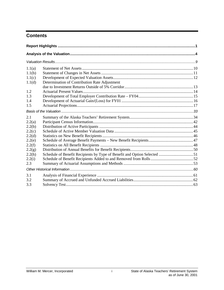#### **Contents**

| 1.1(a) |                                                                          |  |
|--------|--------------------------------------------------------------------------|--|
| 1.1(b) |                                                                          |  |
| 1.1(c) |                                                                          |  |
| 1.1(d) | Determination of Contribution Rate Adjustment                            |  |
|        |                                                                          |  |
| 1.2    |                                                                          |  |
| 1.3    |                                                                          |  |
| 1.4    |                                                                          |  |
| 1.5    |                                                                          |  |
|        |                                                                          |  |
| 2.1    |                                                                          |  |
| 2.2(a) |                                                                          |  |
| 2.2(b) |                                                                          |  |
| 2.2(c) |                                                                          |  |
| 2.2(d) |                                                                          |  |
| 2.2(e) |                                                                          |  |
| 2.2(f) |                                                                          |  |
| 2.2(g) |                                                                          |  |
| 2.2(h) | Schedule of Benefit Recipients by Type of Benefit and Option Selected 51 |  |
| 2.2(i) |                                                                          |  |
| 2.3    |                                                                          |  |
|        |                                                                          |  |
| 3.1    |                                                                          |  |
| 3.2    |                                                                          |  |
| 3.3    |                                                                          |  |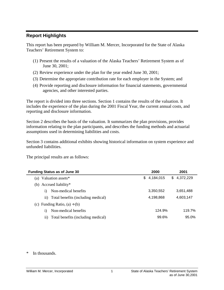#### <span id="page-5-0"></span>**Report Highlights**

This report has been prepared by William M. Mercer, Incorporated for the State of Alaska Teachers' Retirement System to:

- (1) Present the results of a valuation of the Alaska Teachers' Retirement System as of June 30, 2001;
- (2) Review experience under the plan for the year ended June 30, 2001;
- (3) Determine the appropriate contribution rate for each employer in the System; and
- (4) Provide reporting and disclosure information for financial statements, governmental agencies, and other interested parties.

The report is divided into three sections. Section 1 contains the results of the valuation. It includes the experience of the plan during the 2001 Fiscal Year, the current annual costs, and reporting and disclosure information.

Section 2 describes the basis of the valuation. It summarizes the plan provisions, provides information relating to the plan participants, and describes the funding methods and actuarial assumptions used in determining liabilities and costs.

Section 3 contains additional exhibits showing historical information on system experience and unfunded liabilities.

The principal results are as follows:

| <b>Funding Status as of June 30</b>       | 2000             | 2001            |
|-------------------------------------------|------------------|-----------------|
| Valuation assets*<br>(a)                  | 4,184,015<br>\$. | 4,372,229<br>S. |
| (b) Accrued liability*                    |                  |                 |
| Non-medical benefits<br>1)                | 3,350,552        | 3,651,488       |
| ii) Total benefits (including medical)    | 4,198,868        | 4,603,147       |
| (c) Funding Ratio, $(a) \div (b)$         |                  |                 |
| Non-medical benefits<br>1)                | 124.9%           | 119.7%          |
| Total benefits (including medical)<br>11) | 99.6%            | 95.0%           |

\* In thousands.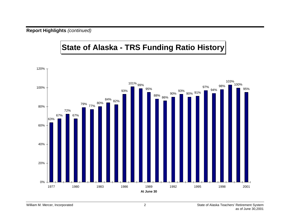**Report Highlights** *(continued)*

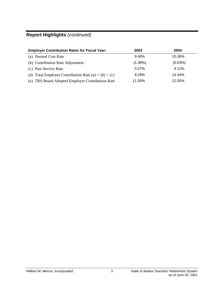# **Report Highlights** *(continued)*

| <b>Employer Contribution Rates for Fiscal Year:</b>    | 2003       | 2004    |
|--------------------------------------------------------|------------|---------|
| (a) Normal Cost Rate                                   | 9.40%      | 10.36%  |
| (b) Contribution Rate Adjustment                       | $(1.38\%)$ | (0.03%) |
| (c) Past Service Rate                                  | 0.27%      | 4.11%   |
| (d) Total Employer Contribution Rate $(a) + (b) + (c)$ | 8.29%      | 14.44%  |
| (e) TRS Board Adopted Employer Contribution Rate       | 11.00%     | 12.00%  |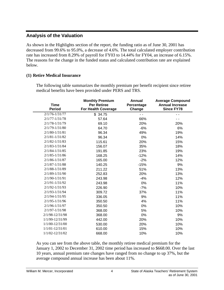#### <span id="page-8-0"></span>**Analysis of the Valuation**

As shown in the Highlights section of the report, the funding ratio as of June 30, 2001 has decreased from 99.6% to 95.0%, a decrease of 4.6%. The total calculated employer contribution rate has increased from 8.29% of payroll for FY03 to 14.44% for FY04, an increase of 6.15%. The reasons for the change in the funded status and calculated contribution rate are explained below.

#### **(1) Retire Medical Insurance**

The following table summarizes the monthly premium per benefit recipient since retiree medical benefits have been provided under PERS and TRS.

| <b>Time</b><br><b>Period</b> | <b>Monthly Premium</b><br><b>Per Retiree</b><br>For Health Coverage | <b>Annual</b><br>Percentage<br>Change | <b>Average Compound</b><br><b>Annual Increase</b><br><b>Since FY78</b> |
|------------------------------|---------------------------------------------------------------------|---------------------------------------|------------------------------------------------------------------------|
| $2/1/76 - 1/31/77$           | \$34.75                                                             | $ -$                                  |                                                                        |
| $2/1/77 - 1/31/78$           | 57.64                                                               | 66%                                   |                                                                        |
| $2/1/78 - 1/31/79$           | 69.10                                                               | 20%                                   | 20%                                                                    |
| $2/1/79 - 1/31/80$           | 64.70                                                               | $-6%$                                 | 6%                                                                     |
| $2/1/80 - 1/31/81$           | 96.34                                                               | 49%                                   | 19%                                                                    |
| $2/1/81 - 1/31/82$           | 96.34                                                               | 0%                                    | 14%                                                                    |
| $2/1/82 - 1/31/83$           | 115.61                                                              | 20%                                   | 15%                                                                    |
| $2/1/83 - 1/31/84$           | 156.07                                                              | 35%                                   | 18%                                                                    |
| $2/1/84 - 1/31/85$           | 191.85                                                              | 23%                                   | 19%                                                                    |
| $2/1/85 - 1/31/86$           | 168.25                                                              | $-12%$                                | 14%                                                                    |
| $2/1/86 - 1/31/87$           | 165.00                                                              | $-2%$                                 | 12%                                                                    |
| $2/1/87 - 1/31/88$           | 140.25                                                              | $-15%$                                | 9%                                                                     |
| $2/1/88 - 1/31/89$           | 211.22                                                              | 51%                                   | 13%                                                                    |
| $2/1/89 - 1/31/90$           | 252.83                                                              | 20%                                   | 13%                                                                    |
| 2/1/90-1/31/91               | 243.98                                                              | $-4%$                                 | 12%                                                                    |
| $2/1/91 - 1/31/92$           | 243.98                                                              | 0%                                    | 11%                                                                    |
| 2/1/92-1/31/93               | 226.90                                                              | $-7%$                                 | 10%                                                                    |
| $2/1/93 - 1/31/94$           | 309.72                                                              | 37%                                   | 11%                                                                    |
| $2/1/94 - 1/31/95$           | 336.05                                                              | 9%                                    | 11%                                                                    |
| 2/1/95-1/31/96               | 350.50                                                              | 4%                                    | 11%                                                                    |
| $2/1/96 - 1/31/97$           | 350.50                                                              | 0%                                    | 10%                                                                    |
| 2/1/97-1/31/98               | 368.00                                                              | 5%                                    | 10%                                                                    |
| 2/1/98-12/31/98              | 368.00                                                              | 0%                                    | 9%                                                                     |
| 1/1/99-12/31/99              | 442.00                                                              | 20%                                   | 10%                                                                    |
| 1/1/00-12/31/00              | 530.00                                                              | 20%                                   | 10%                                                                    |
| 1/1/01-12/31/01              | 610.00                                                              | 15%                                   | 10%                                                                    |
| 1/1/02-12/31/02              | 668.00                                                              | 10%                                   | 10%                                                                    |

As you can see from the above table, the monthly retiree medical premium for the January 1, 2002 to December 31, 2002 time period has increased to \$668.00. Over the last 10 years, annual premium rate changes have ranged from no change to up 37%, but the average compound annual increase has been about 11%.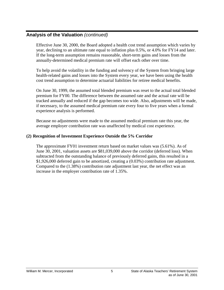Effective June 30, 2000, the Board adopted a health cost trend assumption which varies by year, declining to an ultimate rate equal to inflation plus 0.5%, or 4.0% for FY14 and later. If the long-term assumption remains reasonable, short-term gains and losses from the annually-determined medical premium rate will offset each other over time.

To help avoid the volatility in the funding and solvency of the System from bringing large health-related gains and losses into the System every year, we have been using the health cost trend assumption to determine actuarial liabilities for retiree medical benefits.

On June 30, 1999, the assumed total blended premium was reset to the actual total blended premium for FY00. The difference between the assumed rate and the actual rate will be tracked annually and reduced if the gap becomes too wide. Also, adjustments will be made, if necessary, to the assumed medical premium rate every four to five years when a formal experience analysis is performed.

Because no adjustments were made to the assumed medical premium rate this year, the average employer contribution rate was unaffected by medical cost experience.

#### **(2) Recognition of Investment Experience Outside the 5% Corridor**

The approximate FY01 investment return based on market values was (5.61%). As of June 30, 2001, valuation assets are \$81,039,000 above the corridor (deferred loss). When subtracted from the outstanding balance of previously deferred gains, this resulted in a \$1,926,000 deferred gain to be amortized, creating a (0.03%) contribution rate adjustment. Compared to the (1.38%) contribution rate adjustment last year, the net effect was an increase in the employer contribution rate of 1.35%.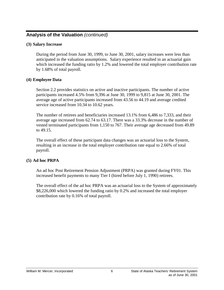#### **(3) Salary Increase**

During the period from June 30, 1999, to June 30, 2001, salary increases were less than anticipated in the valuation assumptions. Salary experience resulted in an actuarial gain which increased the funding ratio by 1.2% and lowered the total employer contribution rate by 1.68% of total payroll.

#### **(4) Employee Data**

Section 2.2 provides statistics on active and inactive participants. The number of active participants increased 4.5% from 9,396 at June 30, 1999 to 9,815 at June 30, 2001. The average age of active participants increased from 43.56 to 44.19 and average credited service increased from 10.34 to 10.62 years.

The number of retirees and beneficiaries increased 13.1% from 6,486 to 7,333, and their average age increased from 62.74 to 63.17. There was a 33.3% decrease in the number of vested terminated participants from 1,150 to 767. Their average age decreased from 49.89 to 49.15.

The overall effect of these participant data changes was an actuarial loss to the System, resulting in an increase in the total employer contribution rate equal to 2.66% of total payroll.

#### **(5) Ad hoc PRPA**

An ad hoc Post Retirement Pension Adjustment (PRPA) was granted during FY01. This increased benefit payments to many Tier I (hired before July 1, 1990) retirees.

The overall effect of the ad hoc PRPA was an actuarial loss to the System of approximately \$8,226,000 which lowered the funding ratio by 0.2% and increased the total employer contribution rate by 0.16% of total payroll.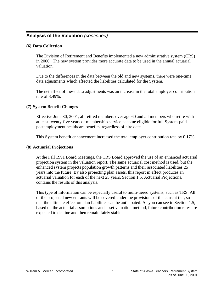#### **(6) Data Collection**

The Division of Retirement and Benefits implemented a new administrative system (CRS) in 2000. The new system provides more accurate data to be used in the annual actuarial valuation.

Due to the differences in the data between the old and new systems, there were one-time data adjustments which affected the liabilities calculated for the System.

The net effect of these data adjustments was an increase in the total employer contribution rate of 3.49%.

#### **(7) System Benefit Changes**

Effective June 30, 2001, all retired members over age 60 and all members who retire with at least twenty-five years of membership service become eligible for full System-paid postemployment healthcare benefits, regardless of hire date.

This System benefit enhancement increased the total employer contribution rate by 0.17%

#### **(8) Actuarial Projections**

At the Fall 1991 Board Meetings, the TRS Board approved the use of an enhanced actuarial projection system in the valuation report. The same actuarial cost method is used, but the enhanced system projects population growth patterns and their associated liabilities 25 years into the future. By also projecting plan assets, this report in effect produces an actuarial valuation for each of the next 25 years. Section 1.5, Actuarial Projections, contains the results of this analysis.

This type of information can be especially useful to multi-tiered systems, such as TRS. All of the projected new entrants will be covered under the provisions of the current tier, so that the ultimate effect on plan liabilities can be anticipated. As you can see in Section 1.5, based on the actuarial assumptions and asset valuation method, future contribution rates are expected to decline and then remain fairly stable.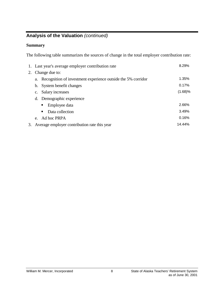#### **Summary**

The following table summarizes the sources of change in the total employer contribution rate:

|    | 1. Last year's average employer contribution rate               | 8.29%   |
|----|-----------------------------------------------------------------|---------|
| 2. | Change due to:                                                  |         |
|    | a. Recognition of investment experience outside the 5% corridor | 1.35%   |
|    | b. System benefit changes                                       | 0.17%   |
|    | c. Salary increases                                             | (1.68)% |
|    | d. Demographic experience                                       |         |
|    | Employee data                                                   | 2.66%   |
|    | Data collection<br>п.                                           | 3.49%   |
|    | e. Ad hoc PRPA                                                  | 0.16%   |
| 3. | Average employer contribution rate this year                    | 14.44%  |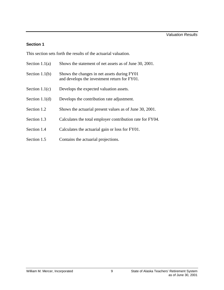#### **Section 1**

This section sets forth the results of the actuarial valuation.

| Section $1.1(a)$ | Shows the statement of net assets as of June 30, 2001.                                      |
|------------------|---------------------------------------------------------------------------------------------|
| Section $1.1(b)$ | Shows the changes in net assets during FY01<br>and develops the investment return for FY01. |
| Section $1.1(c)$ | Develops the expected valuation assets.                                                     |
| Section $1.1(d)$ | Develops the contribution rate adjustment.                                                  |
| Section 1.2      | Shows the actuarial present values as of June 30, 2001.                                     |
| Section 1.3      | Calculates the total employer contribution rate for FY04.                                   |
| Section 1.4      | Calculates the actuarial gain or loss for FY01.                                             |
| Section 1.5      | Contains the actuarial projections.                                                         |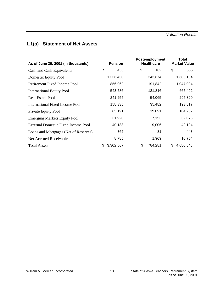# <span id="page-14-0"></span>**1.1(a) Statement of Net Assets**

| As of June 30, 2001 (in thousands)    | <b>Pension</b> |           | Postemployment<br><b>Healthcare</b> |         | <b>Total</b><br><b>Market Value</b> |           |
|---------------------------------------|----------------|-----------|-------------------------------------|---------|-------------------------------------|-----------|
| Cash and Cash Equivalents             | \$             | 453       | \$                                  | 102     | \$                                  | 555       |
| Domestic Equity Pool                  |                | 1,336,430 |                                     | 343,674 |                                     | 1,680,104 |
| Retirement Fixed Income Pool          |                | 856,062   |                                     | 191,842 |                                     | 1,047,904 |
| <b>International Equity Pool</b>      |                | 543,586   |                                     | 121,816 |                                     | 665,402   |
| <b>Real Estate Pool</b>               |                | 241,255   |                                     | 54,065  |                                     | 295,320   |
| International Fixed Income Pool       |                | 158,335   |                                     | 35,482  |                                     | 193,817   |
| Private Equity Pool                   |                | 85,191    |                                     | 19,091  |                                     | 104,282   |
| <b>Emerging Markets Equity Pool</b>   |                | 31,920    |                                     | 7,153   |                                     | 39,073    |
| External Domestic Fixed Income Pool   |                | 40,188    |                                     | 9,006   |                                     | 49,194    |
| Loans and Mortgages (Net of Reserves) |                | 362       |                                     | 81      |                                     | 443       |
| Net Accrued Receivables               |                | 8,785     |                                     | 1,969   |                                     | 10,754    |
| <b>Total Assets</b>                   | \$.            | 3,302,567 | \$                                  | 784,281 | \$                                  | 4,086,848 |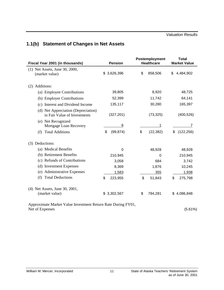# <span id="page-15-0"></span>**1.1(b) Statement of Changes in Net Assets**

| Fiscal Year 2001 (in thousands)                                                 | <b>Pension</b>  | Postemployment<br><b>Healthcare</b> | <b>Total</b><br><b>Market Value</b> |
|---------------------------------------------------------------------------------|-----------------|-------------------------------------|-------------------------------------|
| (1) Net Assets, June 30, 2000,<br>(market value)                                | \$3,626,396     | \$<br>858,506                       | \$<br>4,484,902                     |
| (2) Additions:                                                                  |                 |                                     |                                     |
| (a) Employee Contributions                                                      | 39,805          | 8,920                               | 48,725                              |
| (b) Employer Contributions                                                      | 52,399          | 11,742                              | 64,141                              |
| (c) Interest and Dividend Income                                                | 135,117         | 30,280                              | 165,397                             |
| (d) Net Appreciation (Depreciation)<br>in Fair Value of Investments             | (327, 201)      | (73, 325)                           | (400, 526)                          |
| (e) Net Recognized<br>Mortgage Loan Recovery                                    | 6               | 1                                   | 7                                   |
| <b>Total Additions</b><br>(f)                                                   | \$<br>(99, 874) | \$<br>(22, 382)                     | (122, 256)<br>\$                    |
| (3) Deductions:                                                                 |                 |                                     |                                     |
| (a) Medical Benefits                                                            | 0               | 48,928                              | 48,928                              |
| (b) Retirement Benefits                                                         | 210,945         | $\mathbf 0$                         | 210,945                             |
| (c) Refunds of Contributions                                                    | 3,058           | 684                                 | 3,742                               |
| (d) Investment Expenses                                                         | 8,369           | 1,876                               | 10,245                              |
| (e) Administrative Expenses                                                     | 1,583           | 355                                 | 1,938                               |
| <b>Total Deductions</b><br>(f)                                                  | \$<br>223,955   | \$<br>51,843                        | \$<br>275,798                       |
| (4) Net Assets, June 30, 2001,<br>(market value)                                | \$3,302,567     | \$<br>784,281                       | 4,086,848<br>\$                     |
| Approximate Market Value Investment Return Rate During FY01,<br>Net of Expenses |                 |                                     | (5.61%)                             |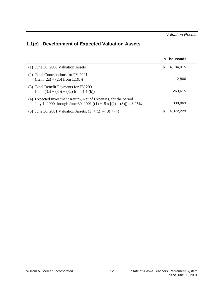# <span id="page-16-0"></span>**1.1(c) Development of Expected Valuation Assets**

|                                                                                                                                        | In Thousands   |  |
|----------------------------------------------------------------------------------------------------------------------------------------|----------------|--|
| $(1)$ June 30, 2000 Valuation Assets                                                                                                   | S<br>4,184,015 |  |
| (2) Total Contributions for FY 2001<br>$(Item (2a) + (2b) from 1.1(b))$                                                                | 112,866        |  |
| (3) Total Benefit Payments for FY 2001<br>$(Item (3a) + (3b) + (3c) from 1.1 (b))$                                                     | 263,615        |  |
| (4) Expected Investment Return, Net of Expenses, for the period<br>July 1, 2000 through June 30, 2001 ((1) + .5 x [(2) – (3)]) x 8.25% | 338,963        |  |
| (5) June 30, 2001 Valuation Assets, $(1) + (2) - (3) + (4)$                                                                            | S<br>4.372.229 |  |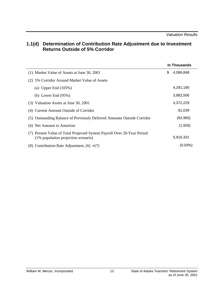#### <span id="page-17-0"></span>**1.1(d) Determination of Contribution Rate Adjustment due to Investment Returns Outside of 5% Corridor**

|                                                                                                                | In Thousands    |
|----------------------------------------------------------------------------------------------------------------|-----------------|
| (1) Market Value of Assets at June 30, 2001                                                                    | \$<br>4,086,848 |
| (2) 5% Corridor Around Market Value of Assets                                                                  |                 |
| (a) Upper End $(105\%)$                                                                                        | 4,291,190       |
| (b) Lower End $(95%)$                                                                                          | 3,882,506       |
| (3) Valuation Assets at June 30, 2001                                                                          | 4,372,229       |
| (4) Current Amount Outside of Corridor                                                                         | 81,039          |
| (5) Outstanding Balance of Previously Deferred Amounts Outside Corridor                                        | (82, 965)       |
| (6) Net Amount to Amortize                                                                                     | (1,926)         |
| (7) Present Value of Total Projected System Payroll Over 20-Year Period<br>(1% population projection scenario) | 5,916,331       |
| (8) Contribution Rate Adjustment, $(6) \div (7)$                                                               | (0.03%)         |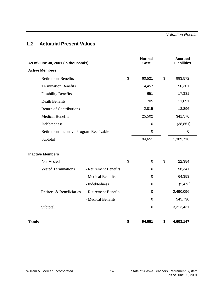## <span id="page-18-0"></span>**1.2 Actuarial Present Values**

| As of June 30, 2001 (in thousands)      |                       |    | <b>Normal</b><br><b>Cost</b> | <b>Accrued</b><br><b>Liabilities</b> |
|-----------------------------------------|-----------------------|----|------------------------------|--------------------------------------|
| <b>Active Members</b>                   |                       |    |                              |                                      |
| <b>Retirement Benefits</b>              |                       | \$ | 60,521                       | \$<br>993,572                        |
| <b>Termination Benefits</b>             |                       |    | 4,457                        | 50,301                               |
| <b>Disability Benefits</b>              |                       |    | 651                          | 17,331                               |
| <b>Death Benefits</b>                   |                       |    | 705                          | 11,891                               |
| <b>Return of Contributions</b>          |                       |    | 2,815                        | 13,896                               |
| <b>Medical Benefits</b>                 |                       |    | 25,502                       | 341,576                              |
| Indebtedness                            |                       |    | $\mathbf 0$                  | (38, 851)                            |
| Retirement Incentive Program Receivable |                       |    | $\mathbf 0$                  | 0                                    |
| Subtotal                                |                       |    | 94,651                       | 1,389,716                            |
| <b>Inactive Members</b>                 |                       |    |                              |                                      |
| Not Vested                              |                       | \$ | $\boldsymbol{0}$             | \$<br>22,384                         |
| <b>Vested Terminations</b>              | - Retirement Benefits |    | $\mathbf 0$                  | 96,341                               |
|                                         | - Medical Benefits    |    | 0                            | 64,353                               |
|                                         | - Indebtedness        |    | $\boldsymbol{0}$             | (5, 473)                             |
| Retirees & Beneficiaries                | - Retirement Benefits |    | $\mathbf 0$                  | 2,490,096                            |
|                                         | - Medical Benefits    |    | $\boldsymbol{0}$             | 545,730                              |
| Subtotal                                |                       |    | $\mathbf 0$                  | 3,213,431                            |
| <b>Totals</b>                           |                       | \$ | 94,651                       | \$<br>4,603,147                      |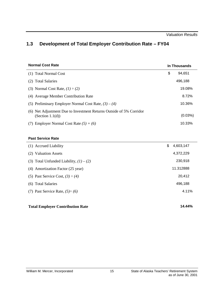# <span id="page-19-0"></span>**1.3 Development of Total Employer Contribution Rate – FY04**

| <b>Normal Cost Rate</b>                                                                    | In Thousands |
|--------------------------------------------------------------------------------------------|--------------|
| (1) Total Normal Cost                                                                      | \$<br>94.651 |
| (2) Total Salaries                                                                         | 496,188      |
| (3) Normal Cost Rate, $(1) \div (2)$                                                       | 19.08%       |
| (4) Average Member Contribution Rate                                                       | 8.72%        |
| (5) Preliminary Employer Normal Cost Rate, $(3) - (4)$                                     | 10.36%       |
| (6) Net Adjustment Due to Investment Returns Outside of 5% Corridor<br>(Section $1.1(d)$ ) | $(0.03\%)$   |
| Employer Normal Cost Rate $(5) + (6)$                                                      | 10.33%       |

#### **Past Service Rate**

| (1) Accrued Liability                     | \$<br>4,603,147 |
|-------------------------------------------|-----------------|
| (2) Valuation Assets                      | 4,372,229       |
| (3) Total Unfunded Liability, $(1) - (2)$ | 230,918         |
| (4) Amortization Factor (25 year)         | 11.312888       |
| (5) Past Service Cost, $(3) \div (4)$     | 20,412          |
| (6) Total Salaries                        | 496,188         |
| (7) Past Service Rate, $(5) \div (6)$     | 4.11%           |
|                                           |                 |

#### **Total Employer Contribution Rate 14.44%**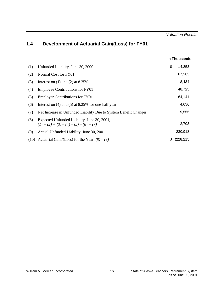# <span id="page-20-0"></span>**1.4 Development of Actuarial Gain/(Loss) for FY01**

|      |                                                                                          |    | In Thousands |
|------|------------------------------------------------------------------------------------------|----|--------------|
| (1)  | Unfunded Liability, June 30, 2000                                                        | \$ | 14,853       |
| (2)  | Normal Cost for FY01                                                                     |    | 87,383       |
| (3)  | Interest on $(1)$ and $(2)$ at 8.25%                                                     |    | 8,434        |
| (4)  | <b>Employee Contributions for FY01</b>                                                   |    | 48,725       |
| (5)  | <b>Employer Contributions for FY01</b>                                                   |    | 64,141       |
| (6)  | Interest on $(4)$ and $(5)$ at 8.25% for one-half year                                   |    | 4,656        |
| (7)  | Net Increase in Unfunded Liability Due to System Benefit Changes                         |    | 9,555        |
| (8)  | Expected Unfunded Liability, June 30, 2001,<br>$(1) + (2) + (3) - (4) - (5) - (6) + (7)$ |    | 2,703        |
| (9)  | Actual Unfunded Liability, June 30, 2001                                                 |    | 230,918      |
| (10) | Actuarial Gain/(Loss) for the Year, $(8) - (9)$                                          | S  | (228, 215)   |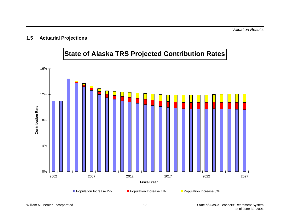### <span id="page-21-0"></span>**1.5 Actuarial Projections**

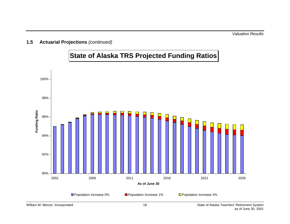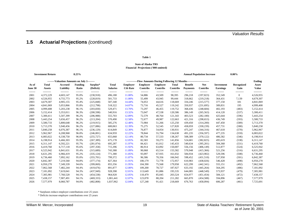### **1.5 Actuarial Projections** *(continued)*

#### **Table 1**

#### **Financial Projections ('000 omitted) State of Alaska TRS**

|                  | <b>Investment Return</b>      |                                             | 8.25%                   |                       |                                 |                                    |                             |                                                                                  |                                 |                            | <b>Annual Population Increase</b> |                               | $0.00\%$           |                       |
|------------------|-------------------------------|---------------------------------------------|-------------------------|-----------------------|---------------------------------|------------------------------------|-----------------------------|----------------------------------------------------------------------------------|---------------------------------|----------------------------|-----------------------------------|-------------------------------|--------------------|-----------------------|
|                  |                               | --------Valuation Amounts on July 1-------- |                         |                       |                                 |                                    |                             | ------------Flow Amounts During Following 12 Months----------------------------- |                                 |                            |                                   |                               |                    | <b>Ending</b>         |
| As of<br>June 30 | <b>Total</b><br><b>Assets</b> | Accrued<br>Liability                        | <b>Funding</b><br>Ratio | Surplus*<br>(Deficit) | <b>Total</b><br><b>Salaries</b> | <b>Employer</b><br><b>Ctb Rate</b> | <b>Employer</b><br>Contribs | <b>Employee</b><br><b>Contribs</b>                                               | <b>Total</b><br><b>Contribs</b> | Benefit<br><b>Payments</b> | <b>Net</b><br>Contribs            | Investment<br><b>Earnings</b> | Recognized<br>Gain | Asset<br><b>Value</b> |
| -------          | ---------                     | ---------                                   | --------                | ---------             | --------                        | --------                           | --------                    | --------                                                                         | --------                        | --------                   | --------                          | -------                       | ---------          | ---------             |
| 2001             | 4,372,229                     | 4,603,147                                   | 95.0%                   | (230,918)             | 496,188                         | 11.00%                             | 54,886                      | 43,509                                                                           | 98,395                          | 296,218                    | (197, 823)                        | 352,549                       | $\mathbf{0}$       | 4,526,955             |
| 2002             | 4,526,955                     | 4,755,773                                   | 95.2%                   | (228, 819)            | 501,733                         | 11.00%                             | 55,499                      | 43,945                                                                           | 99,444                          | 318,662                    | (219, 218)                        | 364,431                       | 7,139              | 4,679,307             |
| 2003             | 4,679,307                     | 4,905,155                                   | 95.4%                   | (225, 848)            | 507,340                         | 14.44%                             | 74,053                      | 44,616                                                                           | 118,669                         | 334,246                    | (215, 577)                        | 377,150                       | 181                | 4,841,069             |
| 2004             | 4,841,069                     | 5,053,866                                   | 95.8%                   | (212,798)             | 518,322                         | 14.07%                             | 73,716                      | 45,527                                                                           | 119,242                         | 350,937                    | (231, 695)                        | 389,831                       | 195                | 4,999,408             |
| 2005             | 4,999,408                     | 5,203,238                                   | 96.1%                   | (203, 830)            | 529,471                         | 13.70%                             | 73,297                      | 46,455                                                                           | 119,752                         | 368,436                    | (248, 684)                        | 402,193                       | (483)              | 5,152,414             |
| 2006             | 5,152,414                     | 5,353,011                                   | 96.3%                   | (200, 598)            | 540,916                         | 13.32%                             | 73,047                      | 47,538                                                                           | 120,586                         | 386,149                    | (265, 563)                        | 414,120                       | (537)              | 5,300,411             |
| 2007             | 5,300,411                     | 5,507,399                                   | 96.2%                   | (206,988)             | 555,703                         | 12.89%                             | 72,579                      | 48,764                                                                           | 121,343                         | 403,523                    | (282, 180)                        | 425,644                       | (596)              | 5,443,254             |
| 2008             | 5,443,254                     | 5,656,457                                   | 96.2%                   | (213, 204)            | 570,490                         | 12.58%                             | 72,677                      | 49,987                                                                           | 122,663                         | 421,316                    | (298, 653)                        | 436,749                       | (593)              | 5,580,733             |
| 2009             | 5,580,733                     | 5,800,648                                   | 96.2%                   | (219, 915)            | 585,276                         | 12.48%                             | 73,984                      | 51,266                                                                           | 125,250                         | 439,450                    | (314,200)                         | 447,450                       | (589)              | 5,713,370             |
| 2010             | 5,713,370                     | 5,940,456                                   | 96.2%                   | (227,086)             | 600,063                         | 12.39%                             | 75,275                      | 52,545                                                                           | 127,820                         | 458,059                    | (330, 239)                        | 457,731                       | (580)              | 5,840,258             |
| 2011             | 5,840,258                     | 6,076,387                                   | 96.1%                   | (236, 129)            | 614,849                         | 12.30%                             | 76,877                      | 54,054                                                                           | 130,931                         | 475,247                    | (344, 316)                        | 467,618                       | (570)              | 5,962,967             |
| 2012             | 5,962,967                     | 6,208,968                                   | 96.0%                   | (246,001)             | 634,959                         | 12.22%                             | 78,844                      | 55,794                                                                           | 134,638                         | 491,235                    | (356, 597)                        | 477,235                       | (559)              | 6,083,022             |
| 2013             | 6,083,022                     | 6,338,750                                   | 96.0%                   | (255, 727)            | 655,068                         | 12.14%                             | 80,734                      | 57,533                                                                           | 138,267                         | 508,389                    | (370, 122)                        | 486,582                       | (546)              | 6,198,914             |
| 2014             | 6,198,914                     | 6,466,303                                   | 95.9%                   | (267, 389)            | 675,178                         | 12.05%                             | 82,583                      | 59,273                                                                           | 141,856                         | 524,681                    | (382, 825)                        | 495,619                       | (538)              | 6,311,147             |
| 2015             | 6,311,147                     | 6,592,221                                   | 95.7%                   | (281,074)             | 695,287                         | 11.97%                             | 84,421                      | 61,012                                                                           | 145,433                         | 540,634                    | (395, 201)                        | 504,368                       | (531)              | 6,419,760             |
| 2016             | 6,419,760                     | 6,717,118                                   | 95.6%                   | (297, 358)            | 715,396                         | 11.92%                             | 86,914                      | 63,092                                                                           | 150,007                         | 556,156                    | (406, 149)                        | 512,877                       | (524)              | 6,525,942             |
| 2017             | 6,525,942                     | 6,841,631                                   | 95.4%                   | (315,689)             | 743,388                         | 11.89%                             | 90,068                      | 65,514                                                                           | 155,582                         | 570,948                    | (415, 366)                        | 521,256                       | (516)              | 6,631,295             |
| 2018             | 6,631,295                     | 6,966,419                                   | 95.2%                   | (335, 124)            | 771,380                         | 11.85%                             | 93,097                      | 67,935                                                                           | 161,032                         | 584,934                    | (423,902)                         | 529,596                       | (508)              | 6,736,460             |
| 2019             | 6,736,460                     | 7,092,162                                   | 95.0%                   | (355,701)             | 799,372                         | 11.87%                             | 96,586                      | 70,356                                                                           | 166,942                         | 598,452                    | (431,510)                         | 537,958                       | (501)              | 6,842,387             |
| 2020             | 6,842,387                     | 7,219,560                                   | 94.8%                   | (377, 174)            | 827,364                         | 11.91%                             | 100,179                     | 72,778                                                                           | 172,957                         | 610,983                    | (438, 026)                        | 546,428                       | (498)              | 6,950,270             |
| 2021             | 6,950,270                     | 7,349,339                                   | 94.6%                   | (399,069)             | 855,356                         | 11.95%                             | 104,390                     | 75,568                                                                           | 179,958                         | 622,299                    | (442, 341)                        | 555,151                       | (492)              | 7,062,568             |
| 2022             | 7,062,568                     | 7,482,244                                   | 94.4%                   | (419,676)             | 891,877                         | 12.00%                             | 109,200                     | 78,727                                                                           | 187,927                         | 633,192                    | (445, 264)                        | 564,295                       | (486)              | 7,181,092             |
| 2023             | 7,181,092                     | 7,619,041                                   | 94.3%                   | (437,949)             | 928,398                         | 12.01%                             | 113,649                     | 81,886                                                                           | 195,535                         | 644,085                    | (448, 549)                        | 573,937                       | (479)              | 7,305,981             |
| 2024             | 7,305,981                     | 7,760,520                                   | 94.1%                   | (454, 538)            | 964,920                         | 12.05%                             | 118,479                     | 85,045                                                                           | 203,524                         | 654,977                    | (451, 454)                        | 584,121                       | (472)              | 7,438,157             |
| 2025             | 7,438,157                     | 7,907,491                                   | 94.1%                   | (469, 333)            | 1,001,441                       | 12.07%                             | 123,078                     | 88,204                                                                           | 211,282                         | 665,870                    | (454, 588)                        | 594,896                       | (467)              | 7,577,979             |
| 2026             | 7,577,979                     | 8,060,787                                   | 94.0%                   | (482, 808)            | 1,037,962                       | 12.04%                             | 127,248                     | 91,421                                                                           | 218,669                         | 676,763                    | (458,094)                         | 606,287                       | (461)              | 7,725,691             |

\* Surpluses reduce employer contributions over 25 years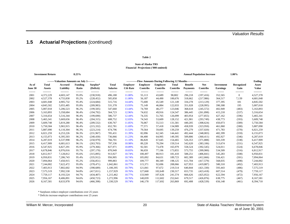### **1.5 Actuarial Projections** *(continued)*

#### **Table 2**

#### **Financial Projections ('000 omitted) State of Alaska TRS**

|         | <b>Investment Return</b> |                                             | 8.25%          |            |                 |                 |                                                                              |                 |                 |                 | <b>Annual Population Increase</b> |                   | 1.00%        |              |
|---------|--------------------------|---------------------------------------------|----------------|------------|-----------------|-----------------|------------------------------------------------------------------------------|-----------------|-----------------|-----------------|-----------------------------------|-------------------|--------------|--------------|
|         |                          | --------Valuation Amounts on July 1-------- |                |            |                 |                 | ------------Flow Amounts During Following 12 Months------------------------- |                 |                 |                 |                                   |                   |              | Ending       |
| As of   | Total                    | Accrued                                     | <b>Funding</b> | Surplus*   | <b>Total</b>    | <b>Employer</b> | <b>Employer</b>                                                              | <b>Employee</b> | Total           | <b>Benefit</b>  | <b>Net</b>                        | <b>Investment</b> | Recognized   | Asset        |
| June 30 | <b>Assets</b>            | Liability                                   | Ratio          | (Deficit)  | <b>Salaries</b> | <b>Ctb Rate</b> | Contribs                                                                     | <b>Contribs</b> | <b>Contribs</b> | <b>Payments</b> | Contribs                          | <b>Earnings</b>   | Gain         | <b>Value</b> |
| ------- | ---------                | ---------                                   | --------       | ---------  | --------        | --------        | --------                                                                     | --------        | --------        | --------        | --------                          | -------           | ---------    | ---------    |
| 2001    | 4,372,229                | 4,603,147                                   | 95.0%          | (230,918)  | 496,188         | 11.00%          | 55,113                                                                       | 43,689          | 98,802          | 296,218         | (197, 416)                        | 352,565           | $\mathbf{0}$ | 4,527,378    |
| 2002    | 4,527,378                | 4,755,830                                   | 95.2%          | (228, 452) | 505,858         | 11.00%          | 56,187                                                                       | 44,490          | 100,676         | 318,662         | (217,986)                         | 364,517           | 7,139        | 4,681,048    |
| 2003    | 4,681,048                | 4,905,732                                   | 95.4%          | (224, 684) | 515,716         | 14.44%          | 75,600                                                                       | 45,549          | 121,149         | 334,278         | (213, 129)                        | 377,395           | 181          | 4,845,502    |
| 2004    | 4,845,502                | 5,055,485                                   | 95.8%          | (209, 983) | 531,378         | 13.93%          | 75,149                                                                       | 46,884          | 122,033         | 351,028         | (228, 995)                        | 390,308           | 195          | 5,007,018    |
| 2005    | 5,007,018                | 5,206,523                                   | 96.2%          | (199, 505) | 547,660         | 13.44%          | 74,769                                                                       | 48,277          | 123,046         | 368,618         | (245, 572)                        | 402,949           | (483)        | 5,163,893    |
| 2006    | 5,163,893                | 5,358,684                                   | 96.4%          | (194, 792) | 564,723         | 12.96%          | 74,632                                                                       | 49,916          | 124,547         | 386,445         | (261, 898)                        | 415,218           | (537)        | 5,316,654    |
| 2007    | 5,316,654                | 5,516,344                                   | 96.4%          | (199, 690) | 586,737         | 12.44%          | 74,335                                                                       | 51,765          | 126,099         | 403,954         | (277, 855)                        | 427,162           | (596)        | 5,465,341    |
| 2008    | 5,465,341                | 5,669,656                                   | 96.4%          | (204, 315) | 608,752         | 12.03%          | 74,543                                                                       | 53,609          | 128,152         | 421,901         | (293,749)                         | 438,773           | (593)        | 5,609,748    |
| 2009    | 5,609,748                | 5,819,280                                   | 96.4%          | (209, 532) | 630,767         | 11.85%          | 76,067                                                                       | 55,513          | 131,581         | 440,205         | (308, 624)                        | 450,073           | (589)        | 5,750,584    |
| 2010    | 5,750,584                | 5,965,915                                   | 96.4%          | (215, 332) | 652,781         | 11.69%          | 77,571                                                                       | 57,418          | 134,989         | 458,939         | (323,950)                         | 461,060           | (580)        | 5,887,090    |
| 2011    | 5,887,090                | 6,110,304                                   | 96.3%          | (223, 214) | 674,796         | 11.53%          | 79,564                                                                       | 59,695          | 139,259         | 476,279         | (337,020)                         | 471,783           | (570)        | 6,021,259    |
| 2012    | 6,021,259                | 6,253,226                                   | 96.3%          | (231,967)  | 705,431         | 11.39%          | 82,096                                                                       | 62,345          | 144,441         | 492,444         | (348,003)                         | 482,399           | (559)        | 6,155,073    |
| 2013    | 6,155,073                | 6,395,503                                   | 96.2%          | (240, 430) | 736,066         | 11.23%          | 84,400                                                                       | 64,995          | 149,395         | 509,806         | (360, 411)                        | 492,927           | (546)        | 6,287,019    |
| 2014    | 6,287,019                | 6,537,998                                   | 96.2%          | (250, 979) | 766,701         | 11.10%          | 86,820                                                                       | 67,645          | 154,465         | 526,353         | (371, 888)                        | 503,339           | (538)        | 6,417,909    |
| 2015    | 6,417,909                | 6,681,613                                   | 96.1%          | (263,703)  | 797,336         | 10.98%          | 89,220                                                                       | 70,294          | 159,514         | 542,620         | (383, 106)                        | 513,674           | (531)        | 6,547,925    |
| 2016    | 6,547,925                | 6,827,291                                   | 95.9%          | (279, 366) | 827,971         | 10.89%          | 92,501                                                                       | 73,478          | 165,979         | 558,524         | (392, 545)                        | 524,011           | (524)        | 6,678,846    |
| 2017    | 6,678,846                | 6,976,016                                   | 95.7%          | (297, 170) | 870,949         | 10.83%          | 96,659                                                                       | 77,196          | 173,855         | 573,755         | (399,900)                         | 534,509           | (516)        | 6,812,917    |
| 2018    | 6,812,917                | 7,128,812                                   | 95.6%          | (315, 895) | 913,927         | 10.74%          | 100,497                                                                      | 80,913          | 181,410         | 588,251         | (406, 841)                        | 545,283           | (508)        | 6,950,831    |
| 2019    | 6,950,831                | 7,286,743                                   | 95.4%          | (335, 912) | 956,905         | 10.74%          | 105,092                                                                      | 84,631          | 189,723         | 602,389         | (412,666)                         | 556,421           | (501)        | 7,094,064    |
| 2020    | 7,094,064                | 7,450,915                                   | 95.2%          | (356, 851) | 999,883         | 10.75%          | 109,777                                                                      | 88,349          | 198,125         | 615,704         | (417,579)                         | 568,035           | (498)        | 7,244,002    |
| 2021    | 7,244,002                | 7,622,472                                   | 95.0%          | (378, 471) | 1,042,861       | 10.77%          | 115,371                                                                      | 92,696          | 208,066         | 627,953         | (419, 887)                        | 580,310           | (492)        | 7,403,913    |
| 2022    | 7,403,913                | 7,802,602                                   | 94.9%          | (398, 689) | 1,100,395       | 10.79%          | 121,841                                                                      | 97,672          | 219,514         | 640,844         | (421, 330)                        | 593,443           | (486)        | 7,575,519    |
| 2023    | 7,575,519                | 7,992,530                                   | 94.8%          | (417,011)  | 1,157,929       | 10.76%          | 127,668                                                                      | 102,649         | 230,317         | 653,735         | (423, 418)                        | 607,514           | (479)        | 7,759,117    |
| 2024    | 7,759,117                | 8,193,524                                   | 94.7%          | (434, 407) | 1,215,462       | 10.77%          | 133,949                                                                      | 107,626         | 241,574         | 666,626         | (425, 052)                        | 622,594           | (472)        | 7,956,167    |
| 2025    | 7,956,167                | 8,406,891                                   | 94.6%          | (450, 723) | 1,272,996       | 10.76%          | 140,039                                                                      | 112,602         | 252,641         | 679,517         | (426, 876)                        | 638,775           | (467)        | 8,167,581    |
| 2026    | 8,167,581                | 8,633,978                                   | 94.6%          | (466, 398) | 1,330,529       | 10.74%          | 146,178                                                                      | 117.692         | 263,869         | 692,408         | (428, 539)                        | 656,148           | (461)        | 8,394,710    |

\* Surpluses reduce employer contributions over 25 years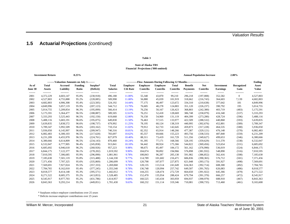#### **Table 3**

#### **Financial Projections ('000 omitted) State of Alaska TRS**

 **Investment Return 8.25% Annual Population Increase 2.00%**

|                  | --------Valuation Amounts on July 1-------- |                      |                         |                       |                                 |                                    | ------------Flow Amounts During Following 12 Months---------------------------- |                             |                                 |                                   |                               |                                      |                    | Ending                |
|------------------|---------------------------------------------|----------------------|-------------------------|-----------------------|---------------------------------|------------------------------------|---------------------------------------------------------------------------------|-----------------------------|---------------------------------|-----------------------------------|-------------------------------|--------------------------------------|--------------------|-----------------------|
| As of<br>June 30 | <b>Total</b><br><b>Assets</b>               | Accrued<br>Liability | <b>Funding</b><br>Ratio | Surplus*<br>(Deficit) | <b>Total</b><br><b>Salaries</b> | <b>Employer</b><br><b>Ctb Rate</b> | <b>Employer</b><br>Contribs                                                     | <b>Employee</b><br>Contribs | <b>Total</b><br><b>Contribs</b> | <b>Benefit</b><br><b>Payments</b> | <b>Net</b><br><b>Contribs</b> | <b>Investment</b><br><b>Earnings</b> | Recognized<br>Gain | Asset<br><b>Value</b> |
| -------          | ---------                                   | ---------            | --------                | ---------             | --------                        | --------                           | --------                                                                        | --------                    | --------                        | --------                          | --------                      | -------                              | ---------          | ---------             |
| 2001             | 4,372,229                                   | 4,603,147            | 95.0%                   | (230,918)             | 496,188                         | 11.00%                             | 55,340                                                                          | 43,870                      | 99,210                          | 296,218                           | (197,008)                     | 352,582                              | $\overline{0}$     | 4,527,803             |
| 2002             | 4,527,803                                   | 4,755,888            | 95.2%                   | (228,085)             | 509,998                         | 11.00%                             | 56,880                                                                          | 45,039                      | 101,919                         | 318,662                           | (216,743)                     | 364,603                              | 7,139              | 4,682,803             |
| 2003             | 4,682,803                                   | 4,906,308            | 95.4%                   | (223, 505)            | 524,192                         | 14.44%                             | 77,175                                                                          | 46,497                      | 123,672                         | 334,310                           | (210, 638)                    | 377,642                              | 181                | 4,849,996             |
| 2004             | 4,849,996                                   | 5,057,119            | 95.9%                   | (207, 123)            | 544,712                         | 13.79%                             | 76,605                                                                          | 48,278                      | 124,883                         | 351,120                           | (226, 237)                    | 390,792                              | 195                | 5,014,755             |
| 2005             | 5,014,755                                   | 5,209,854            | 96.3%                   | (195,099)             | 566,414                         | 13.19%                             | 76,256                                                                          | 50,167                      | 126,423                         | 368,803                           | (242, 380)                    | 403,719                              | (483)              | 5,175,591             |
| 2006             | 5,175,591                                   | 5,364,477            | 96.5%                   | (188, 887)            | 589,505                         | 12.61%                             | 76,251                                                                          | 52,418                      | 128,669                         | 386,748                           | (258,079)                     | 416,340                              | (537)              | 5,333,293             |
| 2007             | 5,333,293                                   | 5,525,443            | 96.5%                   | (192, 150)            | 619,668                         | 12.00%                             | 76,150                                                                          | 54,969                      | 131,119                         | 404,399                           | (273, 280)                    | 428,724                              | (596)              | 5,488,116             |
| 2008             | 5,488,116                                   | 5,683,191            | 96.6%                   | (195,075)             | 649,830                         | 11.50%                             | 76,463                                                                          | 57,515                      | 133,977                         | 422,509                           | (288, 532)                    | 440,868                              | (593)              | 5,639,835             |
| 2009             | 5,639,835                                   | 5,838,572            | 96.6%                   | (198, 737)            | 679,992                         | 11.25%                             | 78,195                                                                          | 60,124                      | 138,319                         | 440,995                           | (302,676)                     | 452,801                              | (589)              | 5,789,347             |
| 2010             | 5,789,347                                   | 5,992,509            | 96.6%                   | (203, 162)            | 710,154                         | 11.02%                             | 79,912                                                                          | 62,733                      | 142,645                         | 459,873                           | (317, 228)                    | 464,535                              | (580)              | 5,936,050             |
| 2011             | 5,936,050                                   | 6,145,997            | 96.6%                   | (209, 947)            | 740,316                         | 10.81%                             | 82,352                                                                          | 65,914                      | 148,266                         | 477,387                           | (329, 121)                    | 476,148                              | (570)              | 6,082,483             |
| 2012             | 6,082,483                                   | 6,300,103            | 96.5%                   | (217,620)             | 783,697                         | 10.62%                             | 85,557                                                                          | 69,666                      | 155,223                         | 493,756                           | (338, 533)                    | 487,840                              | (559)              | 6,231,209             |
| 2013             | 6,231,209                                   | 6,455,970            | 96.5%                   | (224,761)             | 827,079                         | 10.40%                             | 88,311                                                                          | 73,419                      | 161,729                         | 511,356                           | (349,627)                     | 499,653                              | (546)              | 6,380,666             |
| 2014             | 6,380,666                                   | 6,614,809            | 96.5%                   | (234, 143)            | 870,460                         | 10.24%                             | 91,395                                                                          | 77,171                      | 168,566                         | 528,195                           | (359, 629)                    | 511,570                              | (538)              | 6,532,047             |
| 2015             | 6,532,047                                   | 6,777,905            | 96.4%                   | (245, 858)            | 913,841                         | 10.10%                             | 94,442                                                                          | 80,924                      | 175,366                         | 544,822                           | (369, 456)                    | 523,654                              | (531)              | 6,685,692             |
| 2016             | 6,685,692                                   | 6,946,618            | 96.2%                   | (260, 926)            | 957,223                         | 9.98%                              | 98,675                                                                          | 85,497                      | 184,172                         | 561,162                           | (376,990)                     | 536,019                              | (524)              | 6,844,175             |
| 2017             | 6,844,175                                   | 7,122,377            | 96.1%                   | (278, 202)            | 1,019,592                       | 9.90%                              | 104,074                                                                         | 90,892                      | 194,966                         | 576,898                           | (381, 932)                    | 548,890                              | (516)              | 7,010,595             |
| 2018             | 7,010,595                                   | 7,306,685            | 95.9%                   | (296,090)             | 1,081,961                       | 9.78%                              | 108,843                                                                         | 96,287                      | 205,130                         | 591,982                           | (386, 852)                    | 562,416                              | (508)              | 7,185,630             |
| 2019             | 7,185,630                                   | 7,501,119            | 95.8%                   | (315, 488)            | 1,144,330                       | 9.77%                              | 114,789                                                                         | 101,682                     | 216,471                         | 606,836                           | (390, 365)                    | 576,712                              | (501)              | 7,371,456             |
| 2020             | 7,371,456                                   | 7,707,325            | 95.6%                   | (335, 869)            | 1,206,699                       | 9.76%                              | 120,798                                                                         | 107,077                     | 227,875                         | 621,048                           | (393, 173)                    | 591,927                              | (498)              | 7,569,691             |
| 2021             | 7,569,691                                   | 7,927,024            | 95.5%                   | (357, 333)            | 1,269,068                       | 9.76%                              | 128,135                                                                         | 113,514                     | 241,649                         | 634,363                           | (392,714)                     | 608,300                              | (492)              | 7,784,765             |
| 2022             | 7,784,765                                   | 8,162,010            | 95.4%                   | (377, 245)            | 1,355,540                       | 9.78%                              | 136,748                                                                         | 120,994                     | 257,742                         | 649,507                           | (391,765)                     | 626,083                              | (486)              | 8,018,577             |
| 2023             | 8,018,577                                   | 8,414,148            | 95.3%                   | (395, 571)            | 1,442,012                       | 9.71%                              | 144,255                                                                         | 128,474                     | 272,729                         | 664,650                           | (391, 922)                    | 645,366                              | (479)              | 8,271,522             |
| 2024             | 8,271,522                                   | 8,685,375            | 95.2%                   | (413, 853)            | 1,528,485                       | 9.70%                              | 152,470                                                                         | 135,954                     | 288,424                         | 679,794                           | (391, 370)                    | 666,257                              | (472)              | 8,545,917             |
| 2025             | 8,545,917                                   | 8,977,703            | 95.2%                   | (431,786)             | 1,614,957                       | 9.68%                              | 160,525                                                                         | 143,434                     | 303,959                         | 694,937                           | (390, 979)                    | 688,910                              | (467)              | 8,843,363             |
| 2026             | 8,843,363                                   | 9,293,214            | 95.2%                   | (449, 851)            | 1,701,430                       | 9.63%                              | 168,232                                                                         | 151,114                     | 319,346                         | 710,081                           | (390, 735)                    | 713,460                              | (461)              | 9,165,608             |

\* Surpluses reduce employer contributions over 25 years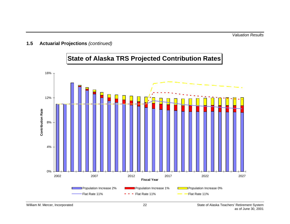

**State of Alaska TRS Projected Contribution Rates**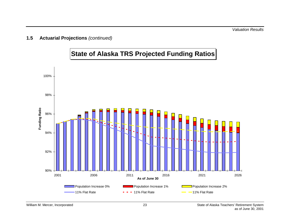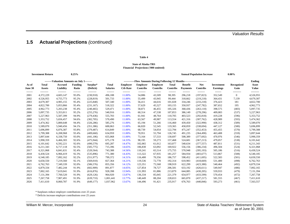### **1.5 Actuarial Projections** *(continued)*

#### **Table 4**

#### **Financial Projections ('000 omitted) State of Alaska TRS**

|                  | <b>Investment Return</b> |                                            | $8.25\%$                |                       |                                 |                                    |                             |                                                                              |                                 |                                   | <b>Annual Population Increase</b> |                               | $0.00\%$           |                       |
|------------------|--------------------------|--------------------------------------------|-------------------------|-----------------------|---------------------------------|------------------------------------|-----------------------------|------------------------------------------------------------------------------|---------------------------------|-----------------------------------|-----------------------------------|-------------------------------|--------------------|-----------------------|
|                  |                          | -------Valuation Amounts on July 1-------- |                         |                       |                                 |                                    |                             | ------------Flow Amounts During Following 12 Months------------------------- |                                 |                                   |                                   |                               |                    | <b>Ending</b>         |
| As of<br>June 30 | Total<br><b>Assets</b>   | <b>Accrued</b><br>Liability                | <b>Funding</b><br>Ratio | Surplus*<br>(Deficit) | <b>Total</b><br><b>Salaries</b> | <b>Employer</b><br><b>Ctb Rate</b> | <b>Employer</b><br>Contribs | <b>Employee</b><br><b>Contribs</b>                                           | <b>Total</b><br><b>Contribs</b> | <b>Benefit</b><br><b>Payments</b> | <b>Net</b><br><b>Contribs</b>     | Investment<br><b>Earnings</b> | Recognized<br>Gain | Asset<br><b>Value</b> |
| -------          | ---------                | ---------                                  | --------                | ---------             | --------                        | --------                           | --------                    | --------                                                                     | --------                        | --------                          | --------                          | -------                       | ---------          | ---------             |
| 2001             | 4,372,229                | 4,603,147                                  | 95.0%                   | (230,918)             | 496,188                         | 11.00%                             | 54,886                      | 43,509                                                                       | 98,395                          | 296,218                           | (197, 823)                        | 352,549                       | $\mathbf{0}$       | 4,526,955             |
| 2002             | 4,526,955                | 4,755,773                                  | 95.2%                   | (228, 819)            | 501,733                         | 11.00%                             | 55,499                      | 43,945                                                                       | 99,444                          | 318,662                           | (219, 218)                        | 364,431                       | 7,139              | 4,679,307             |
| 2003             | 4,679,307                | 4,905,155                                  | 95.4%                   | (225, 848)            | 507,340                         | 11.00%                             | 56,411                      | 44,616                                                                       | 101,028                         | 334,246                           | (233, 218)                        | 376,423                       | 181                | 4,822,700             |
| 2004             | 4,822,700                | 5,053,866                                  | 95.4%                   | (231, 167)            | 518,322                         | 11.00%                             | 57,629                      | 45,527                                                                       | 103,155                         | 350,937                           | (247, 782)                        | 387,652                       | 195                | 4,962,773             |
| 2005             | 4,962,773                | 5,203,238                                  | 95.4%                   | (240, 465)            | 529,471                         | 11.00%                             | 58,871                      | 46,455                                                                       | 105,326                         | 368,436                           | (263, 110)                        | 398,575                       | (483)              | 5,097,735             |
| 2006             | 5,097,735                | 5,353,011                                  | 95.2%                   | (255, 276)            | 540,916                         | 11.00%                             | 60,314                      | 47,538                                                                       | 107,853                         | 386,149                           | (278, 296)                        | 409,083                       | (537)              | 5,227,963             |
| 2007             | 5,227,963                | 5,507,399                                  | 94.9%                   | (279, 436)            | 555,703                         | 11.00%                             | 61,941                      | 48,764                                                                       | 110,705                         | 403,523                           | (292, 818)                        | 419,228                       | (596)              | 5,353,752             |
| 2008             | 5,353,752                | 5,656,457                                  | 94.6%                   | (302,705)             | 570,490                         | 11.00%                             | 63,567                      | 49,987                                                                       | 113,554                         | 421,316                           | (307,762)                         | 428,989                       | (593)              | 5,474,362             |
| 2009             | 5,474,362                | 5,800,648                                  | 94.4%                   | (326, 286)            | 585,276                         | 11.00%                             | 65,194                      | 51,266                                                                       | 116,460                         | 439,450                           | (322,990)                         | 438,312                       | (589)              | 5,589,070             |
| 2010             | 5,589,070                | 5,940,456                                  | 94.1%                   | (351, 386)            | 600,063                         | 11.00%                             | 66,820                      | 52,545                                                                       | 119,365                         | 458,059                           | (338, 694)                        | 447,127                       | (580)              | 5,696,899             |
| 2011             | 5,696,899                | 6,076,387                                  | 93.8%                   | (379, 487)            | 614,849                         | 11.00%                             | 68,739                      | 54,054                                                                       | 122,794                         | 475,247                           | (352, 453)                        | 455,455                       | (570)              | 5,799,308             |
| 2012             | 5,799,308                | 6,208,968                                  | 93.4%                   | (409,660)             | 634,959                         | 11.00%                             | 70,951                      | 55,794                                                                       | 126,745                         | 491,235                           | (364, 490)                        | 463,408                       | (559)              | 5,897,644             |
| 2013             | 5,897,644                | 6,338,750                                  | 93.0%                   | (441, 106)            | 655,068                         | 11.00%                             | 73,164                      | 57,533                                                                       | 130,697                         | 508,389                           | (377, 692)                        | 470,976                       | (546)              | 5,990,359             |
| 2014             | 5,990,359                | 6,466,303                                  | 92.6%                   | (475, 944)            | 675,178                         | 14.33%                             | 98,195                      | 59,273                                                                       | 157,468                         | 524,681                           | (367, 213)                        | 479,057                       | (538)              | 6,101,642             |
| 2015             | 6,101,642                | 6,592,221                                  | 92.6%                   | (490, 579)            | 695,287                         | 14.47%                             | 102,065                     | 61,012                                                                       | 163,077                         | 540,634                           | (377, 557)                        | 487,811                       | (531)              | 6,211,343             |
| 2016             | 6,211,343                | 6,717,118                                  | 92.5%                   | (505, 775)            | 715,396                         | 14.65%                             | 106,830                     | 63,092                                                                       | 169,922                         | 556,156                           | (386, 234)                        | 496,504                       | (524)              | 6,321,068             |
| 2017             | 6,321,068                | 6,841,631                                  | 92.4%                   | (520, 564)            | 743,388                         | 14.56%                             | 110,241                     | 65,514                                                                       | 175,755                         | 570,948                           | (395, 193)                        | 505,186                       | (516)              | 6,430,524             |
| 2018             | 6,430,524                | 6,966,419                                  | 92.3%                   | (535, 896)            | 771,380                         | 14.43%                             | 113,322                     | 67,935                                                                       | 181,257                         | 584,934                           | (403, 677)                        | 513,867                       | (508)              | 6,540,185             |
| 2019             | 6,540,185                | 7,092,162                                  | 92.2%                   | (551, 977)            | 799,372                         | 14.31%                             | 116,400                     | 70,356                                                                       | 186,757                         | 598,452                           | (411,695)                         | 522,583                       | (501)              | 6,650,550             |
| 2020             | 6,650,550                | 7,219,560                                  | 92.1%                   | (569, 010)            | 827,364                         | 14.21%                             | 119,536                     | 72,778                                                                       | 192,314                         | 610,983                           | (418,669)                         | 531,400                       | (498)              | 6,762,763             |
| 2021             | 6,762,763                | 7,349,339                                  | 92.0%                   | (586, 576)            | 855,356                         | 14.12%                             | 123,351                     | 75,568                                                                       | 198,919                         | 622,299                           | (423, 380)                        | 540,464                       | (492)              | 6,879,334             |
| 2022             | 6,879,334                | 7,482,244                                  | 91.9%                   | (602,909)             | 891,877                         | 14.05%                             | 127,854                     | 78,727                                                                       | 206,581                         | 633,192                           | (426,611)                         | 549,947                       | (486)              | 7,002,165             |
| 2023             | 7,002,165                | 7,619,041                                  | 91.9%                   | (616, 876)            | 928,398                         | 13.94%                             | 131,993                     | 81,886                                                                       | 213,879                         | 644,085                           | (430,205)                         | 559,933                       | (479)              | 7,131,394             |
| 2024             | 7,131,394                | 7,760,520                                  | 91.9%                   | (629, 126)            | 964,920                         | 13.87%                             | 136,334                     | 85,045                                                                       | 221,379                         | 654,977                           | (433,599)                         | 570,454                       | (472)              | 7,267,758             |
| 2025             | 7,267,758                | 7,907,491                                  | 91.9%                   | (639, 733)            | 1,001,441                       | 13.77%                             | 140,449                     | 88,204                                                                       | 228,653                         | 665,870                           | (437, 217)                        | 581,555                       | (467)              | 7,411,610             |
| 2026             | 7,411,610                | 8,060,787                                  | 91.9%                   | (649, 177)            | 1,037,962                       | 13.67%                             | 144,496                     | 91,421                                                                       | 235,917                         | 676,763                           | (440, 846)                        | 593,273                       | (461)              | 7,563,557             |

\* Surpluses reduce employer contributions over 25 years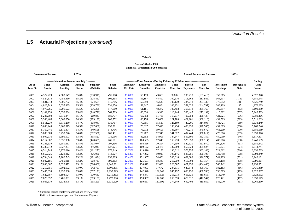### **1.5 Actuarial Projections** *(continued)*

#### **Table 5**

#### **Financial Projections ('000 omitted) State of Alaska TRS**

|                  | <b>Investment Return</b>      |                                             | 8.25%                   |                       |                                 |                                    |                                                                              |                                    |                                 |                                   | <b>Annual Population Increase</b> |                                      | 1.00%              |                       |
|------------------|-------------------------------|---------------------------------------------|-------------------------|-----------------------|---------------------------------|------------------------------------|------------------------------------------------------------------------------|------------------------------------|---------------------------------|-----------------------------------|-----------------------------------|--------------------------------------|--------------------|-----------------------|
|                  |                               | --------Valuation Amounts on July 1-------- |                         |                       |                                 |                                    | ------------Flow Amounts During Following 12 Months------------------------- |                                    |                                 |                                   |                                   |                                      |                    | Ending                |
| As of<br>June 30 | <b>Total</b><br><b>Assets</b> | Accrued<br>Liability                        | <b>Funding</b><br>Ratio | Surplus*<br>(Deficit) | <b>Total</b><br><b>Salaries</b> | <b>Employer</b><br><b>Ctb Rate</b> | <b>Employer</b><br>Contribs                                                  | <b>Employee</b><br><b>Contribs</b> | <b>Total</b><br><b>Contribs</b> | <b>Benefit</b><br><b>Payments</b> | <b>Net</b><br>Contribs            | <b>Investment</b><br><b>Earnings</b> | Recognized<br>Gain | Asset<br><b>Value</b> |
| -------          | ---------                     | ---------                                   | --------                | ---------             | --------                        | --------                           | --------                                                                     | --------                           | --------                        | --------                          | --------                          | -------                              | ---------          | ---------             |
| 2001             | 4,372,229                     | 4,603,147                                   | 95.0%                   | (230,918)             | 496,188                         | 11.00%                             | 55,113                                                                       | 43,689                             | 98,802                          | 296,218                           | (197, 416)                        | 352,565                              | $\mathbf{0}$       | 4,527,378             |
| 2002             | 4,527,378                     | 4,755,830                                   | 95.2%                   | (228, 452)            | 505,858                         | 11.00%                             | 56,187                                                                       | 44,490                             | 100,676                         | 318,662                           | (217,986)                         | 364,517                              | 7,139              | 4,681,048             |
| 2003             | 4,681,048                     | 4,905,732                                   | 95.4%                   | (224, 684)            | 515,716                         | 11.00%                             | 57,590                                                                       | 45,549                             | 103,139                         | 334,278                           | (231, 139)                        | 376,652                              | 181                | 4,826,749             |
| 2004             | 4,826,749                     | 5,055,485                                   | 95.5%                   | (228, 736)            | 531,378                         | 11.00%                             | 59,347                                                                       | 46,884                             | 106,231                         | 351,028                           | (244, 797)                        | 388,109                              | 195                | 4,970,265             |
| 2005             | 4,970,265                     | 5,206,523                                   | 95.5%                   | (236, 258)            | 547,660                         | 11.00%                             | 61,181                                                                       | 48,277                             | 109,458                         | 368,618                           | (259, 160)                        | 399,357                              | (483)              | 5,109,959             |
| 2006             | 5,109,959                     | 5,358,684                                   | 95.4%                   | (248, 726)            | 564,723                         | 11.00%                             | 63,330                                                                       | 49,916                             | 113,246                         | 386,445                           | (273, 199)                        | 410,302                              | (537)              | 5,246,503             |
| 2007             | 5,246,503                     | 5,516,344                                   | 95.1%                   | (269, 841)            | 586,737                         | 11.00%                             | 65,752                                                                       | 51,765                             | 117,517                         | 403,954                           | (286, 437)                        | 421,021                              | (596)              | 5,380,466             |
| 2008             | 5,380,466                     | 5,669,656                                   | 94.9%                   | (289, 190)            | 608,752                         | 11.00%                             | 68,174                                                                       | 53,609                             | 121,783                         | 421,901                           | (300, 118)                        | 431,509                              | (593)              | 5,511,239             |
| 2009             | 5,511,239                     | 5,819,280                                   | 94.7%                   | (308, 041)            | 630,767                         | 11.00%                             | 70,595                                                                       | 55,513                             | 126,109                         | 440,205                           | (314,096)                         | 441,721                              | (589)              | 5,638,249             |
| 2010             | 5,638,249                     | 5,965,915                                   | 94.5%                   | (327,666)             | 652,781                         | 11.00%                             | 73,017                                                                       | 57,418                             | 130,434                         | 458,939                           | (328, 505)                        | 451,605                              | (580)              | 5,760,746             |
| 2011             | 5,760,746                     | 6,110,304                                   | 94.3%                   | (349, 558)            | 674,796                         | 11.00%                             | 75,912                                                                       | 59,695                             | 135,607                         | 476,279                           | (340,672)                         | 461,209                              | (570)              | 5,880,689             |
| 2012             | 5,880,689                     | 6,253,226                                   | 94.0%                   | (372, 536)            | 705,431                         | 11.00%                             | 79,282                                                                       | 62,345                             | 141,627                         | 492,444                           | (350, 817)                        | 470,686                              | (559)              | 5,999,976             |
| 2013             | 5,999,976                     | 6,395,503                                   | 93.8%                   | (395, 527)            | 736,066                         | 11.00%                             | 82,652                                                                       | 64,995                             | 147,647                         | 509,806                           | (362, 159)                        | 480,059                              | (546)              | 6,117,307             |
| 2014             | 6,117,307                     | 6,537,998                                   | 93.6%                   | (420, 691)            | 766,701                         | 12.86%                             | 100,595                                                                      | 67,645                             | 168,239                         | 526,353                           | (358, 114)                        | 489,906                              | (538)              | 6,248,539             |
| 2015             | 6,248,539                     | 6,681,613                                   | 93.5%                   | (433,074)             | 797,336                         | 12.84%                             | 104,356                                                                      | 70,294                             | 174,650                         | 542,620                           | (367,970)                         | 500,326                              | (531)              | 6,380,342             |
| 2016             | 6,380,342                     | 6,827,291                                   | 93.5%                   | (446, 949)            | 827,971                         | 12.85%                             | 109,122                                                                      | 73,478                             | 182,600                         | 558,524                           | (375, 924)                        | 510,871                              | (524)              | 6,514,744             |
| 2017             | 6,514,744                     | 6,976,016                                   | 93.4%                   | (461,272)             | 870,949                         | 12.71%                             | 113,416                                                                      | 77,196                             | 190,612                         | 573,755                           | (383, 143)                        | 521,662                              | (516)              | 6,652,725             |
| 2018             | 6,652,725                     | 7,128,812                                   | 93.3%                   | (476,086)             | 913,927                         | 12.53%                             | 117,232                                                                      | 80,913                             | 198,146                         | 588,251                           | (390, 105)                        | 532,758                              | (508)              | 6,794,849             |
| 2019             | 6,794,849                     | 7,286,743                                   | 93.2%                   | (491, 894)            | 956,905                         | 12.41%                             | 121,387                                                                      | 84,631                             | 206,018                         | 602,389                           | (396, 371)                        | 544,225                              | (501)              | 6,942,181             |
| 2020             | 6,942,181                     | 7,450,915                                   | 93.2%                   | (508, 733)            | 999,883                         | 12.30%                             | 125,601                                                                      | 88,349                             | 213,950                         | 615,704                           | (401, 754)                        | 556,158                              | (498)              | 7,096,067             |
| 2021             | 7,096,067                     | 7,622,472                                   | 93.1%                   | (526, 406)            | 1,042,861                       | 12.21%                             | 130,812                                                                      | 92,696                             | 223,507                         | 627,953                           | (404, 446)                        | 568,742                              | (492)              | 7,259,851             |
| 2022             | 7,259,851                     | 7,802,602                                   | 93.0%                   | (542, 751)            | 1,100,395                       | 12.13%                             | 137,003                                                                      | 97,672                             | 234,675                         | 640,844                           | (406, 169)                        | 582,183                              | (486)              | 7,435,359             |
| 2023             | 7,435,359                     | 7,992,530                                   | 93.0%                   | (557, 171)            | 1,157,929                       | 12.01%                             | 142,548                                                                      | 102,649                            | 245,197                         | 653,735                           | (408, 538)                        | 596,565                              | (479)              | 7,622,887             |
| 2024             | 7,622,887                     | 8,193,524                                   | 93.0%                   | (570, 637)            | 1,215,462                       | 11.92%                             | 148,347                                                                      | 107,626                            | 255,973                         | 666,626                           | (410, 653)                        | 611,949                              | (472)              | 7,823,692             |
| 2025             | 7,823,692                     | 8,406,891                                   | 93.1%                   | (583, 199)            | 1,272,996                       | 11.83%                             | 153,967                                                                      | 112,602                            | 266,570                         | 679,517                           | (412, 947)                        | 628,421                              | (467)              | 8,038,679             |
| 2026             | 8,038,679                     | 8,633,978                                   | 93.1%                   | (595, 299)            | 1,330,529                       | 11.73%                             | 159,657                                                                      | 117,692                            | 277,349                         | 692,408                           | (415,059)                         | 646,070                              | (461)              | 8,269,210             |

\* Surpluses reduce employer contributions over 25 years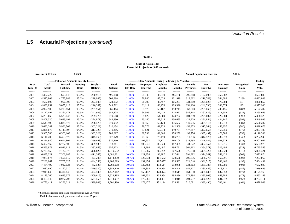### **1.5 Actuarial Projections** *(continued)*

#### **Table 6**

#### **Financial Projections ('000 omitted) State of Alaska TRS**

|              | <b>Investment Return</b> |                                             | 8.25%          |                          |                    |                  |                  |                                                                              |                    |                    | <b>Annual Population Increase</b> |                    | 2.00%          |                        |
|--------------|--------------------------|---------------------------------------------|----------------|--------------------------|--------------------|------------------|------------------|------------------------------------------------------------------------------|--------------------|--------------------|-----------------------------------|--------------------|----------------|------------------------|
|              |                          | --------Valuation Amounts on July 1-------- |                |                          |                    |                  |                  | ------------Flow Amounts During Following 12 Months------------------------- |                    |                    |                                   |                    |                | Ending                 |
| As of        | Total                    | Accrued                                     | Funding        | Surplus*                 | <b>Total</b>       | <b>Employer</b>  | <b>Employer</b>  | <b>Employee</b>                                                              | Total              | <b>Benefit</b>     | <b>Net</b>                        | <b>Investment</b>  | Recognized     | Asset                  |
| June 30      | <b>Assets</b>            | Liability                                   | Ratio          | (Deficit)                | <b>Salaries</b>    | <b>Ctb Rate</b>  | Contribs         | <b>Contribs</b>                                                              | Contribs           | <b>Payments</b>    | Contribs                          | <b>Earnings</b>    | Gain           | <b>Value</b>           |
| -------      | ---------                | ---------                                   | --------       | ---------                | --------           | --------         | --------         | --------                                                                     | --------           |                    | --------                          | -------            | ---------      | ---------              |
| 2001         | 4,372,229                | 4,603,147                                   | 95.0%          | (230,918)                | 496,188            | 11.00%           | 55,340           | 43,870                                                                       | 99,210             | 296,218            | (197,008)                         | 352,582            | $\overline{0}$ | 4,527,803              |
| 2002         | 4,527,803                | 4,755,888                                   | 95.2%          | (228,085)                | 509,998            | 11.00%           | 56,880           | 45,039                                                                       | 101,919            | 318,662            | (216,743)                         | 364,603            | 7,139          | 4,682,803              |
| 2003         | 4,682,803                | 4,906,308                                   | 95.4%          | (223, 505)               | 524,192            | 11.00%           | 58,790           | 46,497                                                                       | 105,287            | 334,310            | (229, 023)                        | 376,884            | 181            | 4,830,852              |
| 2004         | 4,830,852                | 5,057,119                                   | 95.5%          | (226, 267)               | 544,712            | 11.00%           | 61,112           | 48,278                                                                       | 109,390            | 351,120            | (241,730)                         | 388,574            | 195            | 4,977,900              |
| 2005         | 4,977,900                | 5,209,854                                   | 95.5%          | (231, 954)               | 566,414            | 11.00%           | 63,576           | 50,167                                                                       | 113,743            | 368,803            | (255,060)                         | 400,155            | (483)          | 5,122,492              |
| 2006         | 5,122,492                | 5,364,477                                   | 95.5%          | (241, 985)               | 589,505            | 11.00%           | 66,505           | 52,418                                                                       | 118,922            | 386,748            | (267, 826)                        | 411,558            | (537)          | 5,265,665              |
| 2007         | 5,265,665                | 5,525,443                                   | 95.3%          | (259,779)                | 619,668            | 11.00%           | 69,822           | 54,969                                                                       | 124,792            | 404,399            | (279,607)                         | 422,884            | (596)          | 5,408,320              |
| 2008         | 5,408,320                | 5,683,191                                   | 95.2%          | (274, 871)               | 649,830            | 11.00%           | 73,140           | 57,515                                                                       | 130,655            | 422,509            | (291, 854)                        | 434,147            | (593)          | 5,549,996              |
| 2009         | 5,549,996                | 5,838,572                                   | 95.1%          | (288, 576)               | 679,992            | 11.00%<br>11.00% | 76,458           | 60,124                                                                       | 136,582            | 440,995            | (304, 413)                        | 445,318            | (589)          | 5,690,287              |
| 2010<br>2011 | 5,690,287<br>5,828,676   | 5,992,509<br>6,145,997                      | 95.0%<br>94.8% | (302, 222)<br>(317, 320) | 710,154<br>740,316 | 11.00%           | 79,776<br>83,821 | 62,733<br>65,914                                                             | 142,509<br>149,734 | 459,873            | (317, 364)<br>(327, 653)          | 456,357            | (580)          | 5,828,676              |
| 2012         | 5,967,780                |                                             | 94.7%          |                          | 783,697            | 11.00%           | 88,593           |                                                                              | 158,259            | 477,387<br>493,756 |                                   | 467,350<br>478,503 | (570)          | 5,967,780              |
| 2013         | 6,110,203                | 6,300,103<br>6,455,970                      | 94.6%          | (332, 323)               | 827,079            | 11.00%           | 93,365           | 69,666<br>73,419                                                             | 166,783            | 511,356            | (335, 497)<br>(344, 573)          | 489,878            | (559)<br>(546) | 6,110,203<br>6,254,940 |
| 2014         | 6,254,940                | 6,614,809                                   | 94.6%          | (345,766)<br>(359, 868)  | 870,460            | 11.54%           | 102,937          | 77,171                                                                       | 180,108            | 528,195            | (348,087)                         | 501,674            | (538)          | 6,407,967              |
| 2015         | 6,407,967                | 6,777,905                                   | 94.5%          | (369, 938)               | 913,841            | 11.39%           | 106,541          | 80,924                                                                       | 187,465            | 544,822            | (357, 357)                        | 513,916            | (531)          | 6,563,973              |
| 2016         | 6,563,973                | 6,946,618                                   | 94.5%          | (382, 645)               | 957,223            | 11.26%           | 111,294          | 85,497                                                                       | 196,791            | 561,162            | (364, 371)                        |                    |                |                        |
| 2017         | 6,725,555                | 7,122,377                                   | 94.4%          | (396, 822)               | 1,019,592          | 11.10%           | 116,685          | 90,892                                                                       | 207,578            | 576,898            | (369, 320)                        | 526,498<br>539,624 | (524)<br>(516) | 6,725,555<br>6,895,321 |
| 2018         | 6,895,321                | 7,306,685                                   | 94.4%          | (411, 365)               | 1,081,961          | 10.90%           | 121,354          | 96,287                                                                       | 217,641            | 591,982            | (374, 341)                        | 553,422            | (508)          | 7,073,874              |
| 2019         | 7,073,874                | 7,501,119                                   | 94.3%          | (427, 245)               | 1,144,330          | 10.79%           | 126,878          | 101,682                                                                      | 228,560            | 606,836            | (378, 276)                        | 567,991            | (501)          | 7,263,067              |
| 2020         | 7,263,067                | 7,707,325                                   | 94.2%          | (444, 258)               | 1,206,699          | 10.70%           | 132,456          | 107,077                                                                      | 239,533            | 621,048            | (381, 515)                        | 583,466            | (498)          | 7,464,499              |
| 2021         | 7,464,499                | 7,927,024                                   | 94.2%          | (462, 525)               | 1,269,068          | 10.63%           | 139,463          | 113,514                                                                      | 252,978            | 634,363            | (381, 385)                        | 600,089            | (492)          | 7,682,690              |
| 2022         | 7,682,690                | 8,162,010                                   | 94.1%          | (479, 320)               | 1,355,540          | 10.57%           | 147,854          | 120,994                                                                      | 268,848            | 649,507            | (380, 659)                        | 618,120            | (486)          | 7,919,645              |
| 2023         | 7,919,645                | 8,414,148                                   | 94.1%          | (494, 502)               | 1,442,012          | 10.45%           | 155,137          | 128,474                                                                      | 283,611            | 664,650            | (381,039)                         | 637,653            | (479)          | 8,175,760              |
| 2024         | 8,175,760                | 8,685,375                                   | 94.1%          | (509, 615)               | 1,528,485          | 10.37%           | 162,932          | 135,954                                                                      | 298,886            | 679,794            | (380,908)                         | 658,788            | (472)          | 8,453,148              |
| 2025         | 8,453,148                | 8,977,703                                   | 94.2%          | (524, 555)               | 1,614,957          | 10.29%           | 170,581          | 143,434                                                                      | 314,015            | 694,937            | (380, 922)                        | 681,672            | (467)          | 8,753,411              |
| 2026         | 8,753,411                | 9,293,214                                   | 94.2%          | (539, 803)               | 1,701,430          | 10.22%           | 178,477          | 151.114                                                                      | 329,591            | 710,081            | (380, 490)                        | 706,461            | (461)          | 9,078,903              |
|              |                          |                                             |                |                          |                    |                  |                  |                                                                              |                    |                    |                                   |                    |                |                        |

\* Surpluses reduce employer contributions over 25 years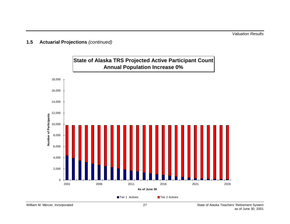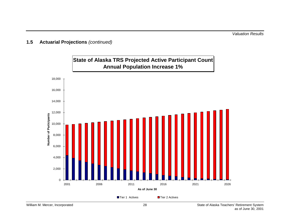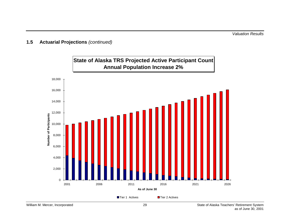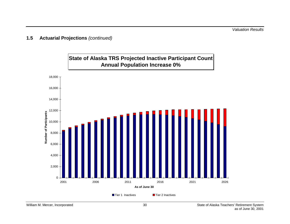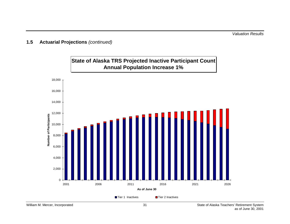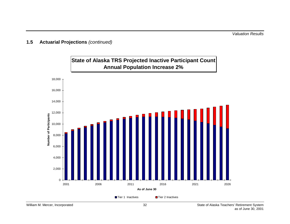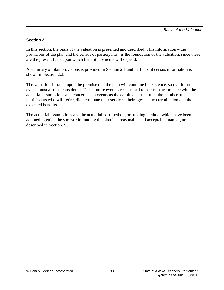#### <span id="page-37-0"></span>**Section 2**

In this section, the basis of the valuation is presented and described. This information – the provisions of the plan and the census of participants– is the foundation of the valuation, since these are the present facts upon which benefit payments will depend.

A summary of plan provisions is provided in Section 2.1 and participant census information is shown in Section 2.2.

The valuation is based upon the premise that the plan will continue in existence, so that future events must also be considered. These future events are assumed to occur in accordance with the actuarial assumptions and concern such events as the earnings of the fund, the number of participants who will retire, die, terminate their services, their ages at such termination and their expected benefits.

The actuarial assumptions and the actuarial cost method, or funding method, which have been adopted to guide the sponsor in funding the plan in a reasonable and acceptable manner, are described in Section 2.3.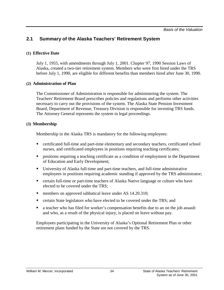### <span id="page-38-0"></span>**2.1 Summary of the Alaska Teachers' Retirement System**

#### **(1) Effective Date**

July 1, 1955, with amendments through July 1, 2001. Chapter 97, 1990 Session Laws of Alaska, created a two-tier retirement system. Members who were first hired under the TRS before July 1, 1990, are eligible for different benefits than members hired after June 30, 1990.

#### **(2) Administration of Plan**

The Commissioner of Administration is responsible for administering the system. The Teachers' Retirement Board prescribes policies and regulations and performs other activities necessary to carry out the provisions of the system. The Alaska State Pension Investment Board, Department of Revenue, Treasury Division is responsible for investing TRS funds. The Attorney General represents the system in legal proceedings.

#### **(3) Membership**

Membership in the Alaska TRS is mandatory for the following employees:

- certificated full-time and part-time elementary and secondary teachers, certificated school nurses, and certificated employees in positions requiring teaching certificates;
- positions requiring a teaching certificate as a condition of employment in the Department of Education and Early Development;
- University of Alaska full-time and part-time teachers, and full-time administrative employees in positions requiring academic standing if approved by the TRS administrator;
- certain full-time or part-time teachers of Alaska Native language or culture who have elected to be covered under the TRS;
- members on approved sabbatical leave under AS 14.20.310;
- **Exercise 1** certain State legislators who have elected to be covered under the TRS; and
- a teacher who has filed for worker's compensation benefits due to an on the job assault and who, as a result of the physical injury, is placed on leave without pay.

Employees participating in the University of Alaska's Optional Retirement Plan or other retirement plans funded by the State are not covered by the TRS.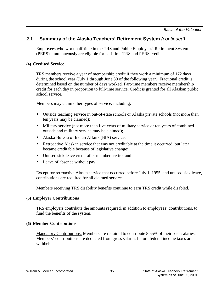Employees who work half-time in the TRS and Public Employees' Retirement System (PERS) simultaneously are eligible for half-time TRS and PERS credit.

#### **(4) Credited Service**

TRS members receive a year of membership credit if they work a minimum of 172 days during the school year (July 1 through June 30 of the following year). Fractional credit is determined based on the number of days worked. Part-time members receive membership credit for each day in proportion to full-time service. Credit is granted for all Alaskan public school service.

Members may claim other types of service, including:

- Outside teaching service in out-of-state schools or Alaska private schools (not more than ten years may be claimed);
- **Military service (not more than five years of military service or ten years of combined** outside and military service may be claimed);
- Alaska Bureau of Indian Affairs (BIA) service:
- Retroactive Alaskan service that was not creditable at the time it occurred, but later became creditable because of legislative change;
- Unused sick leave credit after members retire; and
- Leave of absence without pay.

Except for retroactive Alaska service that occurred before July 1, 1955, and unused sick leave, contributions are required for all claimed service.

Members receiving TRS disability benefits continue to earn TRS credit while disabled.

#### **(5) Employer Contributions**

TRS employers contribute the amounts required, in addition to employees' contributions, to fund the benefits of the system.

#### **(6) Member Contributions**

Mandatory Contributions: Members are required to contribute 8.65% of their base salaries. Members' contributions are deducted from gross salaries before federal income taxes are withheld.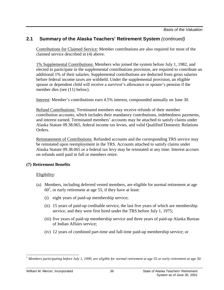*Basis of the Valuation*

#### **2.1 Summary of the Alaska Teachers' Retirement System** *(continued)*

Contributions for Claimed Service: Member contributions are also required for most of the claimed service described in (4) above.

1% Supplemental Contributions: Members who joined the system before July 1, 1982, and elected to participate in the supplemental contributions provision, are required to contribute an additional 1% of their salaries. Supplemental contributions are deducted from gross salaries before federal income taxes are withheld. Under the supplemental provision, an eligible spouse or dependent child will receive a survivor's allowance or spouse's pension if the member dies (see (11) below).

Interest: Member's contributions earn 4.5% interest, compounded annually on June 30.

Refund Contributions: Terminated members may receive refunds of their member contribution accounts, which includes their mandatory contributions, indebtedness payments, and interest earned. Terminated members' accounts may be attached to satisfy claims under Alaska Statute 09.38.065, federal income tax levies, and valid Qualified Domestic Relations Orders.

Reinstatement of Contributions: Refunded accounts and the corresponding TRS service may be reinstated upon reemployment in the TRS. Accounts attached to satisfy claims under Alaska Statute 09.38.065 or a federal tax levy may be reinstated at any time. Interest accrues on refunds until paid in full or members retire.

#### **(7) Retirement Benefits**

#### Eligibility:

- (a) Members, including deferred vested members, are eligible for normal retirement at age  $60<sup>1</sup>$ , or early retirement at age 55, if they have at least:
	- (i) eight years of paid-up membership service;
	- (ii) 15 years of paid-up creditable service, the last five years of which are membership service, and they were first hired under the TRS before July 1, 1975;
	- (iii) five years of paid-up membership service and three years of paid-up Alaska Bureau of Indian Affairs service;
	- (iv) 12 years of combined part-time and full-time paid-up membership service; or

 $\overline{\phantom{a}}$ *1 Members participating before July 1, 1990, are eligible for normal retirement at age 55 or early retirement at age 50.*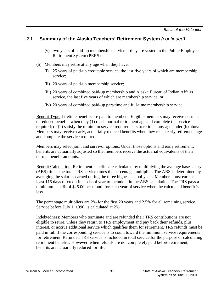- (v) two years of paid-up membership service if they are vested in the Public Employees' Retirement System (PERS).
- (b) Members may retire at any age when they have:
	- (i) 25 years of paid-up creditable service, the last five years of which are membership service;
	- (ii) 20 years of paid-up membership service;
	- (iii) 20 years of combined paid-up membership and Alaska Bureau of Indian Affairs service, the last five years of which are membership service; or
	- (iv) 20 years of combined paid-up part-time and full-time membership service.

Benefit Type: Lifetime benefits are paid to members. Eligible members may receive normal, unreduced benefits when they (1) reach normal retirement age and complete the service required; or (2) satisfy the minimum service requirements to retire at any age under (b) above. Members may receive early, actuarially reduced benefits when they reach early retirement age and complete the service required.

Members may select joint and survivor options. Under those options and early retirement, benefits are actuarially adjusted so that members receive the actuarial equivalents of their normal benefit amounts.

Benefit Calculation: Retirement benefits are calculated by multiplying the average base salary (ABS) times the total TRS service times the percentage multiplier. The ABS is determined by averaging the salaries earned during the three highest school years. Members must earn at least 115 days of credit in a school year to include it in the ABS calculation. The TRS pays a minimum benefit of \$25.00 per month for each year of service when the calculated benefit is less.

The percentage multipliers are 2% for the first 20 years and 2.5% for all remaining service. Service before July 1, 1990, is calculated at 2%.

Indebtedness: Members who terminate and are refunded their TRS contributions are not eligible to retire, unless they return to TRS employment and pay back their refunds, plus interest, or accrue additional service which qualifies them for retirement. TRS refunds must be paid in full if the corresponding service is to count toward the minimum service requirements for retirement. Refunded TRS service is included in total service for the purpose of calculating retirement benefits. However, when refunds are not completely paid before retirement, benefits are actuarially reduced for life.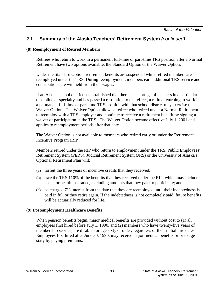#### **(8) Reemployment of Retired Members**

Retirees who return to work in a permanent full-time or part-time TRS position after a Normal Retirement have two options available, the Standard Option or the Waiver Option.

Under the Standard Option, retirement benefits are suspended while retired members are reemployed under the TRS. During reemployment, members earn additional TRS service and contributions are withheld from their wages.

If an Alaska school district has established that there is a shortage of teachers in a particular discipline or specialty and has passed a resolution to that effect, a retiree returning to work in a permanent full-time or part-time TRS position with that school district may exercise the Waiver Option. The Waiver Option allows a retiree who retired under a Normal Retirement to reemploy with a TRS employer and continue to receive a retirement benefit by signing a waiver of participation in the TRS. The Waiver Option became effective July 1, 2001 and applies to reemployment periods after that date.

The Waiver Option is not available to members who retired early or under the Retirement Incentive Program (RIP).

Members retired under the RIP who return to employment under the TRS, Public Employees' Retirement System (PERS), Judicial Retirement System (JRS) or the University of Alaska's Optional Retirement Plan will:

- (a) forfeit the three years of incentive credits that they received;
- (b) owe the TRS 110% of the benefits that they received under the RIP, which may include costs for health insurance, excluding amounts that they paid to participate; and
- (c) be charged 7% interest from the date that they are reemployed until their indebtedness is paid in full or they retire again. If the indebtedness is not completely paid, future benefits will be actuarially reduced for life.

#### **(9) Postemployment Healthcare Benefits**

When pension benefits begin, major medical benefits are provided without cost to (1) all employees first hired before July 1, 1990, and (2) members who have twenty-five years of membership service, are disabled or age sixty or older, regardless of their initial hire dates. Employees first hired after June 30, 1990, may receive major medical benefits prior to age sixty by paying premiums.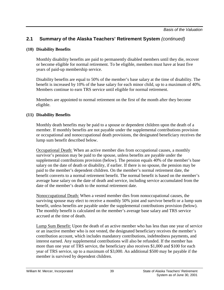#### **(10) Disability Benefits**

Monthly disability benefits are paid to permanently disabled members until they die, recover or become eligible for normal retirement. To be eligible, members must have at least five years of paid-up membership service.

Disability benefits are equal to 50% of the member's base salary at the time of disability. The benefit is increased by 10% of the base salary for each minor child, up to a maximum of 40%. Members continue to earn TRS service until eligible for normal retirement.

Members are appointed to normal retirement on the first of the month after they become eligible.

#### **(11) Disability Benefits**

Monthly death benefits may be paid to a spouse or dependent children upon the death of a member. If monthly benefits are not payable under the supplemental contributions provision or occupational and nonoccupational death provisions, the designated beneficiary receives the lump sum benefit described below.

Occupational Death: When an active member dies from occupational causes, a monthly survivor's pension may be paid to the spouse, unless benefits are payable under the supplemental contributions provision (below). The pension equals 40% of the member's base salary on the date of death or disability, if earlier. If there is no spouse, the pension may be paid to the member's dependent children. On the member's normal retirement date, the benefit converts to a normal retirement benefit. The normal benefit is based on the member's average base salary on the date of death and service, including service accumulated from the date of the member's death to the normal retirement date.

Nonoccupational Death: When a vested member dies from nonoccupational causes, the surviving spouse may elect to receive a monthly 50% joint and survivor benefit or a lump sum benefit, unless benefits are payable under the supplemental contributions provision (below). The monthly benefit is calculated on the member's average base salary and TRS service accrued at the time of death.

Lump Sum Benefit: Upon the death of an active member who has less than one year of service or an inactive member who is not vested, the designated beneficiary receives the member's contribution account, which includes mandatory contributions, indebtedness payments, and interest earned. Any supplemental contributions will also be refunded. If the member has more than one year of TRS service, the beneficiary also receives \$1,000 and \$100 for each year of TRS service, up to a maximum of \$3,000. An additional \$500 may be payable if the member is survived by dependent children.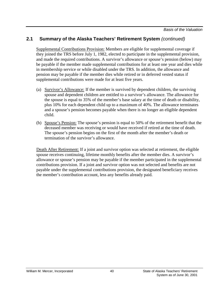*Basis of the Valuation*

#### **2.1 Summary of the Alaska Teachers' Retirement System** *(continued)*

Supplemental Contributions Provision: Members are eligible for supplemental coverage if they joined the TRS before July 1, 1982, elected to participate in the supplemental provision, and made the required contributions. A survivor's allowance or spouse's pension (below) may be payable if the member made supplemental contributions for at least one year and dies while in membership service or while disabled under the TRS. In addition, the allowance and pension may be payable if the member dies while retired or in deferred vested status if supplemental contributions were made for at least five years.

- (a) Survivor's Allowance: If the member is survived by dependent children, the surviving spouse and dependent children are entitled to a survivor's allowance. The allowance for the spouse is equal to 35% of the member's base salary at the time of death or disability, plus 10% for each dependent child up to a maximum of 40%. The allowance terminates and a spouse's pension becomes payable when there is no longer an eligible dependent child.
- (b) Spouse's Pension: The spouse's pension is equal to 50% of the retirement benefit that the deceased member was receiving or would have received if retired at the time of death. The spouse's pension begins on the first of the month after the member's death or termination of the survivor's allowance.

Death After Retirement: If a joint and survivor option was selected at retirement, the eligible spouse receives continuing, lifetime monthly benefits after the member dies. A survivor's allowance or spouse's pension may be payable if the member participated in the supplemental contributions provision. If a joint and survivor option was not selected and benefits are not payable under the supplemental contributions provision, the designated beneficiary receives the member's contribution account, less any benefits already paid.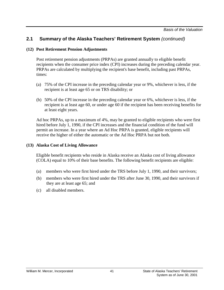#### **(12) Post Retirement Pension Adjustments**

Post retirement pension adjustments (PRPAs) are granted annually to eligible benefit recipients when the consumer price index (CPI) increases during the preceding calendar year. PRPAs are calculated by multiplying the recipient's base benefit, including past PRPAs, times:

- (a) 75% of the CPI increase in the preceding calendar year or 9%, whichever is less, if the recipient is at least age 65 or on TRS disability; or
- (b) 50% of the CPI increase in the preceding calendar year or 6%, whichever is less, if the recipient is at least age 60, or under age 60 if the recipient has been receiving benefits for at least eight years.

Ad hoc PRPAs, up to a maximum of 4%, may be granted to eligible recipients who were first hired before July 1, 1990, if the CPI increases and the financial condition of the fund will permit an increase. In a year where an Ad Hoc PRPA is granted, eligible recipients will receive the higher of either the automatic or the Ad Hoc PRPA but not both.

#### **(13) Alaska Cost of Living Allowance**

Eligible benefit recipients who reside in Alaska receive an Alaska cost of living allowance (COLA) equal to 10% of their base benefits. The following benefit recipients are eligible:

- (a) members who were first hired under the TRS before July 1, 1990, and their survivors;
- (b) members who were first hired under the TRS after June 30, 1990, and their survivors if they are at least age 65; and
- (c) all disabled members.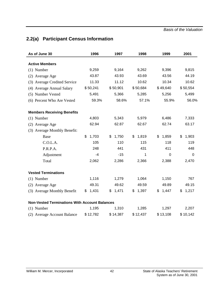*Basis of the Valuation*

# <span id="page-46-0"></span>**2.2(a) Participant Census Information**

| As of June 30                                        | 1996        | 1997        | 1998        | 1999        | 2001           |
|------------------------------------------------------|-------------|-------------|-------------|-------------|----------------|
| <b>Active Members</b>                                |             |             |             |             |                |
| $(1)$ Number                                         | 9,259       | 9,164       | 9,262       | 9,396       | 9,815          |
| (2) Average Age                                      | 43.87       | 43.93       | 43.69       | 43.56       | 44.19          |
| (3) Average Credited Service                         | 11.33       | 11.12       | 10.62       | 10.34       | 10.62          |
| (4) Average Annual Salary                            | \$50,241    | \$50,901    | \$50,684    | \$49,640    | \$50,554       |
| (5) Number Vested                                    | 5,491       | 5,366       | 5,285       | 5,256       | 5,499          |
| (6) Percent Who Are Vested                           | 59.3%       | 58.6%       | 57.1%       | 55.9%       | 56.0%          |
| <b>Members Receiving Benefits</b>                    |             |             |             |             |                |
| $(1)$ Number                                         | 4,803       | 5,343       | 5,979       | 6,486       | 7,333          |
| (2) Average Age                                      | 62.94       | 62.87       | 62.67       | 62.74       | 63.17          |
| (3) Average Monthly Benefit:                         |             |             |             |             |                |
| Base                                                 | \$<br>1,703 | \$<br>1,750 | 1,819<br>\$ | \$<br>1,859 | \$<br>1,903    |
| C.O.L.A.                                             | 105         | 110         | 115         | 118         | 119            |
| P.R.P.A.                                             | 248         | 441         | 431         | 411         | 448            |
| Adjustment                                           | -4          | $-15$       | 1           | $\mathbf 0$ | $\overline{0}$ |
| Total                                                | 2,062       | 2,286       | 2,366       | 2,388       | 2,470          |
| <b>Vested Terminations</b>                           |             |             |             |             |                |
| $(1)$ Number                                         | 1,116       | 1,279       | 1,064       | 1,150       | 767            |
| (2) Average Age                                      | 49.31       | 49.62       | 49.59       | 49.89       | 49.15          |
| (3) Average Monthly Benefit                          | 1,431<br>\$ | 1,471<br>\$ | 1,397<br>\$ | 1,447<br>\$ | 1,217<br>\$    |
| <b>Non-Vested Terminations With Account Balances</b> |             |             |             |             |                |
| $(1)$ Number                                         | 1,195       | 1,310       | 1,285       | 1,297       | 2,207          |
| (2) Average Account Balance                          | \$12,782    | \$14,387    | \$12,437    | \$13,108    | \$10,142       |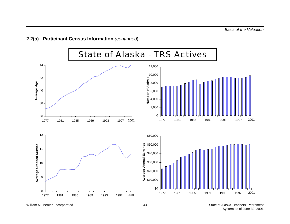### **2.2(a) Participant Census Information** *(continued***)**

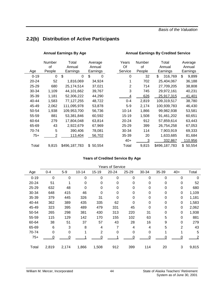*Basis of the Valuation*

## <span id="page-48-0"></span>**2.2(b) Distribution of Active Participants**

#### Annual Earnings By Age **Annual Earnings By Credited Service**

|          | Number | Total         | Average      | Years          | Number | Total         | Average      |
|----------|--------|---------------|--------------|----------------|--------|---------------|--------------|
|          | οf     | Annual        | Annual       | Of             | of     | Annual        | Annual       |
| Age      | People | Earnings      | Earnings     | Service        | People | Earnings      | Earnings     |
| $0 - 19$ | 0      | \$<br>0       | \$<br>0      | 0              | 32     | \$<br>316,769 | \$<br>9,899  |
| 20-24    | 52     | 1,816,069     | 34,924       | 1              | 702    | 25,404,067    | 36,188       |
| 25-29    | 680    | 25,174,514    | 37,021       | $\overline{2}$ | 714    | 27,709,205    | 38,808       |
| 30-34    | 1,109  | 44,101,662    | 39,767       | 3              | 745    | 29,972,161    | 40,231       |
| 35-39    | 1,181  | 52,306,222    | 44,290       | 4              | 626    | 25,917,315    | 41,401       |
| 40-44    | 1,583  | 77,127,255    | 48,722       | $0 - 4$        | 2,819  | 109,319,517   | 38,780       |
| 45-49    | 2,062  | 111,095,978   | 53,878       | $5-9$          | 2,174  | 100,939,783   | 46,430       |
| 50-54    | 1,938  | 109,953,700   | 56,736       | $10 - 14$      | 1,866  | 99,982,938    | 53,581       |
| 55-59    | 881    | 53,381,846    | 60,592       | 15-19          | 1,508  | 91,461,202    | 60,651       |
| 60-64    | 279    | 17,804,048    | 63,814       | 20-24          | 912    | 57,859,614    | 63,443       |
| 65-69    | 43     | 2,922,679     | 67,969       | 25-29          | 399    | 26,754,258    | 67,053       |
| 70-74    | 5      | 390,406       | 78,081       | 30-34          | 114    | 7,903,919     | 69,333       |
| 75+      | 2      | 113,404       | 56,702       | 35-39          | 20     | 1,633,685     | 81,684       |
|          |        |               |              | $40+$          | 3      | 332,867       | 110,956      |
| Total    | 9,815  | \$496,187,783 | \$<br>50,554 | Total          | 9,815  | \$496,187,783 | 50,554<br>\$ |

| Years     | Number | Total         | Average       |
|-----------|--------|---------------|---------------|
| Of        | оf     | Annual        | Annual        |
| Service   | People | Earnings      | Earnings      |
| 0         | 32     | 316,769<br>\$ | \$<br>9.899   |
| 1         | 702    | 25,404,067    | 36,188        |
| 2         | 714    | 27,709,205    | 38,808        |
| 3         | 745    | 29,972,161    | 40,231        |
| 4         | 626    | 25,917,315    | 41,401        |
| 0-4       | 2,819  | 109,319,517   | 38,780        |
| 5-9       | 2,174  | 100,939,783   | 46,430        |
| $10 - 14$ | 1,866  | 99.982.938    | 53,581        |
| 15-19     | 1,508  | 91,461,202    | 60.651        |
| 20-24     | 912    | 57,859,614    | 63.443        |
| 25-29     | 399    | 26,754,258    | 67,053        |
| 30-34     | 114    | 7,903,919     | 69.333        |
| 35-39     | 20     | 1,633,685     | 81,684        |
| $40+$     | 3      | 332,867       | 110,956       |
| T∩tal     | 9.815  | \$496 187 783 | \$.<br>50.554 |

#### **Years of Credited Service By Age**

| <b>Years of Service</b> |         |       |           |          |           |          |          |       |             |                |  |
|-------------------------|---------|-------|-----------|----------|-----------|----------|----------|-------|-------------|----------------|--|
| Age                     | $0 - 4$ | $5-9$ | $10 - 14$ | 15-19    | $20 - 24$ | 25-29    | 30-34    | 35-39 | $40+$       | Total          |  |
| $0 - 19$                | 0       | 0     | 0         | $\Omega$ | $\Omega$  | 0        | $\Omega$ | 0     | $\Omega$    | 0              |  |
| 20-24                   | 51      |       | 0         | 0        | 0         | 0        | 0        | 0     | $\mathbf 0$ | 52             |  |
| 25-29                   | 632     | 48    | 0         | 0        | 0         | 0        | $\Omega$ | 0     | $\Omega$    | 680            |  |
| 30-34                   | 648     | 415   | 46        | 0        | 0         | 0        | $\Omega$ | 0     | 0           | 1,109          |  |
| 35-39                   | 379     | 445   | 326       | 31       | $\Omega$  | 0        | $\Omega$ | 0     | 0           | 1,181          |  |
| 40-44                   | 362     | 389   | 435       | 335      | 62        | $\Omega$ | 0        | 0     | $\Omega$    | 1,583          |  |
| 45-49                   | 323     | 395   | 489       | 479      | 331       | 45       | $\Omega$ | 0     | $\Omega$    | 2,062          |  |
| 50-54                   | 265     | 298   | 381       | 430      | 313       | 220      | 31       | 0     | 0           | 1,938          |  |
| 55-59                   | 115     | 129   | 142       | 170      | 155       | 102      | 63       | 5     | $\Omega$    | 881            |  |
| 60-64                   | 38      | 51    | 37        | 57       | 43        | 28       | 16       | 9     | $\Omega$    | 279            |  |
| 65-69                   | 6       | 3     | 8         | 4        | 7         | 4        | 4        | 5     | 2           | 43             |  |
| 70-74                   | 0       | 0     | 1         | 2        | $\Omega$  | 0        | $\Omega$ | 1     |             | 5              |  |
| $75+$                   | 0       | 0     |           | 0        |           | 0        | 0        | 0     | 0           | $\overline{2}$ |  |
| Total                   | 2,819   | 2,174 | 1,866     | 1,508    | 912       | 399      | 114      | 20    | 3           | 9,815          |  |
|                         |         |       |           |          |           |          |          |       |             |                |  |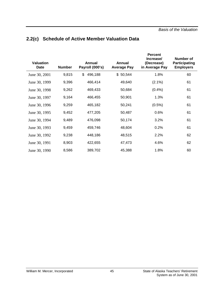| <b>Valuation</b><br>Date | <b>Number</b> | Annual<br>Payroll (000's) | Annual<br><b>Average Pay</b> | <b>Percent</b><br>Increase/<br>(Decrease)<br>in Average Pay | <b>Number of</b><br><b>Participating</b><br><b>Employers</b> |
|--------------------------|---------------|---------------------------|------------------------------|-------------------------------------------------------------|--------------------------------------------------------------|
| June 30, 2001            | 9,815         | \$<br>496,188             | \$50,544                     | 1.8%                                                        | 60                                                           |
| June 30, 1999            | 9,396         | 466,414                   | 49,640                       | $(2.1\%)$                                                   | 61                                                           |
| June 30, 1998            | 9,262         | 469,433                   | 50,684                       | (0.4% )                                                     | 61                                                           |
| June 30, 1997            | 9,164         | 466,455                   | 50,901                       | 1.3%                                                        | 61                                                           |
| June 30, 1996            | 9,259         | 465,182                   | 50,241                       | $(0.5\%)$                                                   | 61                                                           |
| June 30, 1995            | 9,452         | 477,205                   | 50,487                       | 0.6%                                                        | 61                                                           |
| June 30, 1994            | 9,489         | 476,098                   | 50,174                       | 3.2%                                                        | 61                                                           |
| June 30, 1993            | 9,459         | 459,746                   | 48,604                       | 0.2%                                                        | 61                                                           |
| June 30, 1992            | 9,238         | 448,186                   | 48,515                       | 2.2%                                                        | 62                                                           |
| June 30, 1991            | 8,903         | 422,655                   | 47,473                       | 4.6%                                                        | 62                                                           |
| June 30, 1990            | 8,586         | 389,702                   | 45,388                       | 1.8%                                                        | 60                                                           |

# <span id="page-49-0"></span>**2.2(c) Schedule of Active Member Valuation Data**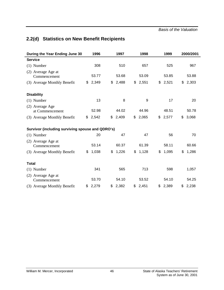# <span id="page-50-0"></span>**2.2(d) Statistics on New Benefit Recipients**

| During the Year Ending June 30                   | 1996        | 1997        | 1998        | 1999        | 2000/2001   |
|--------------------------------------------------|-------------|-------------|-------------|-------------|-------------|
| <b>Service</b>                                   |             |             |             |             |             |
| $(1)$ Number                                     | 308         | 510         | 657         | 525         | 967         |
| (2) Average Age at<br>Commencement               | 53.77       | 53.68       | 53.09       | 53.85       | 53.88       |
| (3) Average Monthly Benefit                      | \$<br>2,349 | \$<br>2,488 | \$<br>2,551 | \$<br>2,521 | \$<br>2,303 |
| <b>Disability</b>                                |             |             |             |             |             |
| $(1)$ Number                                     | 13          | 8           | 9           | 17          | 20          |
| (2) Average Age<br>at Commencement               | 52.98       | 44.02       | 44.96       | 48.51       | 50.78       |
| (3) Average Monthly Benefit                      | \$<br>2,542 | \$<br>2,409 | \$<br>2,065 | \$<br>2,577 | \$<br>3,068 |
| Survivor (including surviving spouse and QDRO's) |             |             |             |             |             |
| $(1)$ Number                                     | 20          | 47          | 47          | 56          | 70          |
| (2) Average Age at<br>Commencement               | 53.14       | 60.37       | 61.39       | 58.11       | 60.66       |
| (3) Average Monthly Benefit                      | \$<br>1,038 | \$<br>1,226 | \$<br>1,128 | \$<br>1,095 | \$<br>1,286 |
| <b>Total</b>                                     |             |             |             |             |             |
| $(1)$ Number                                     | 341         | 565         | 713         | 598         | 1,057       |
| (2) Average Age at<br>Commencement               | 53.70       | 54.10       | 53.52       | 54.10       | 54.25       |
| (3) Average Monthly Benefit                      | \$<br>2,279 | \$<br>2,382 | \$2,451     | \$<br>2,389 | \$2,238     |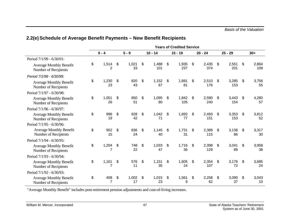|                                                        |                               |                   |                    | <b>Years of Credited Service</b> |                    |                    |                    |
|--------------------------------------------------------|-------------------------------|-------------------|--------------------|----------------------------------|--------------------|--------------------|--------------------|
|                                                        | $0 - 4$                       | $5 - 9$           | $10 - 14$          | $15 - 19$                        | $20 - 24$          | $25 - 29$          | $30+$              |
| Period 7/1/99 - 6/30/01:                               |                               |                   |                    |                                  |                    |                    |                    |
| <b>Average Monthly Benefit</b><br>Number of Recipients | \$<br>1,514<br>2              | \$<br>1,021<br>33 | \$<br>1,488<br>101 | \$<br>1,935<br>237               | \$<br>2,435<br>374 | \$<br>2,551<br>201 | \$<br>2,864<br>109 |
| Period 7/1/98 - 6/30/99:                               |                               |                   |                    |                                  |                    |                    |                    |
| <b>Average Monthly Benefit</b><br>Number of Recipients | \$<br>1,230<br>23             | \$<br>820<br>43   | \$<br>1,152<br>67  | \$<br>1,691<br>81                | \$<br>2,510<br>176 | \$<br>3,285<br>153 | \$<br>3,756<br>55  |
| Period 7/1/97 - 6/30/98:                               |                               |                   |                    |                                  |                    |                    |                    |
| <b>Average Monthly Benefit</b><br>Number of Recipients | \$<br>1,051<br>26             | \$<br>850<br>51   | \$<br>1,095<br>80  | \$<br>1,842<br>105               | \$<br>2,590<br>240 | \$<br>3,443<br>154 | \$<br>4,280<br>57  |
| Period 7/1/96 - 6/30/97:                               |                               |                   |                    |                                  |                    |                    |                    |
| <b>Average Monthly Benefit</b><br>Number of Recipients | \$<br>996<br>19               | \$<br>828<br>42   | \$<br>1,042<br>71  | \$<br>1,692<br>77                | \$<br>2,493<br>151 | \$<br>3,353<br>153 | \$<br>3,812<br>52  |
| Period 7/1/95 - 6/30/96:                               |                               |                   |                    |                                  |                    |                    |                    |
| <b>Average Monthly Benefit</b><br>Number of Recipients | \$<br>952<br>15               | \$<br>836<br>24   | \$<br>1,145<br>40  | \$<br>1,731<br>31                | \$<br>2,389<br>115 | \$<br>3,138<br>86  | \$<br>3,317<br>30  |
| Period 7/1/94 - 6/30/95:                               |                               |                   |                    |                                  |                    |                    |                    |
| <b>Average Monthly Benefit</b><br>Number of Recipients | \$<br>1,204<br>$\overline{7}$ | \$<br>748<br>22   | \$<br>1,033<br>47  | \$<br>1,716<br>36                | \$<br>2,398<br>129 | \$<br>3,041<br>89  | \$<br>3,958<br>38  |
| Period 7/1/93 - 6/30/94:                               |                               |                   |                    |                                  |                    |                    |                    |
| <b>Average Monthly Benefit</b><br>Number of Recipients | \$<br>1,161                   | \$<br>576<br>11   | \$<br>1,151<br>35  | \$<br>1,605<br>24                | \$<br>2,354<br>107 | \$<br>3,176<br>72  | \$<br>3,685<br>24  |
| Period 7/1/92 - 6/30/93:                               |                               |                   |                    |                                  |                    |                    |                    |
| <b>Average Monthly Benefit</b><br>Number of Recipients | \$<br>408<br>$\overline{7}$   | \$<br>1,002<br>17 | \$<br>1,015<br>23  | \$<br>1,561<br>9                 | \$<br>2,258<br>62  | \$<br>3,090<br>37  | \$<br>3,043<br>10  |

# <span id="page-51-0"></span>**2.2(e) Schedule of Average Benefit Payments – New Benefit Recipients**

"Average Monthly Benefit" includes post-retirement pension adjustments and cost-of-living increases.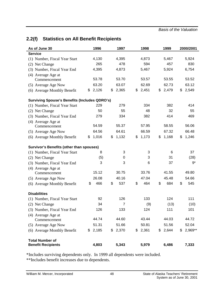# <span id="page-52-0"></span>**2.2(f) Statistics on All Benefit Recipients**

| As of June 30                                        | 1996        | 1997        | 1998        | 1999        | 2000/2001     |
|------------------------------------------------------|-------------|-------------|-------------|-------------|---------------|
| <b>Service</b>                                       |             |             |             |             |               |
| (1) Number, Fiscal Year Start                        | 4,130       | 4,395       | 4,873       | 5,467       | 5,924         |
| (2) Net Change                                       | 265         | 478         | 594         | 457         | 830           |
| (3) Number, Fiscal Year End                          | 4,395       | 4,873       | 5,467       | 5,924       | 6,754         |
| (4) Average Age at                                   |             |             |             |             |               |
| Commencement                                         | 53.78       | 53.70       | 53.57       | 53.55       | 53.52         |
| (5) Average Age Now                                  | 63.20       | 63.07       | 62.69       | 62.73       | 63.12         |
| (6) Average Monthly Benefit                          | \$<br>2,126 | \$<br>2,365 | \$<br>2,451 | \$<br>2,479 | \$<br>2,549   |
| <b>Surviving Spouse's Benefits (Includes QDRO's)</b> |             |             |             |             |               |
| (1) Number, Fiscal Year Start                        | 229         | 279         | 334         | 382         | 414           |
| (2) Net Change                                       | 50          | 55          | 48          | 32          | 55            |
| (3) Number, Fiscal Year End                          | 279         | 334         | 382         | 414         | 469           |
| (4) Average Age at                                   |             |             |             |             |               |
| Commencement                                         | 54.59       | 55.37       | 57.95       | 58.55       | 56.06         |
| (5) Average Age Now                                  | 64.56       | 64.61       | 66.59       | 67.32       | 66.48         |
| (6) Average Monthly Benefit                          | \$<br>1,016 | \$<br>1,132 | \$<br>1,173 | \$<br>1,168 | \$<br>1,246   |
| <b>Survivor's Benefits (other than spouses)</b>      |             |             |             |             |               |
| (1) Number, Fiscal Year Start                        | 8           | 3           | 3           | 6           | 37            |
| (2) Net Change                                       | (5)         | 0           | 3           | 31          | (28)          |
| (3) Number, Fiscal Year End                          | 3           | 3           | 6           | 37          | 9*            |
| (4) Average Age at                                   |             |             |             |             |               |
| Commencement                                         | 15.12       | 30.75       | 33.76       | 41.55       | 49.80         |
| (5) Average Age Now                                  | 26.08       | 40.16       | 47.04       | 45.48       | 54.66         |
| (6) Average Monthly Benefit                          | \$<br>466   | \$<br>537   | \$<br>464   | \$<br>684   | \$<br>545     |
| <b>Disabilities</b>                                  |             |             |             |             |               |
| (1) Number, Fiscal Year Start                        | 92          | 126         | 133         | 124         | 111           |
| (2) Net Change                                       | 34          | 7           | (9)         | (13)        | (10)          |
| (3) Number, Fiscal Year End                          | 126         | 133         | 124         | 111         | 101           |
| (4) Average Age at                                   |             |             |             |             |               |
| Commencement                                         | 44.74       | 44.60       | 43.44       | 44.03       | 44.72         |
| (5) Average Age Now                                  | 51.31       | 51.66       | 50.81       | 51.56       | 52.04         |
| (6) Average Monthly Benefit                          | \$2,185     | \$2,370     | \$<br>2,361 | \$<br>2,644 | \$<br>2,969** |
| <b>Total Number of</b>                               |             |             |             |             |               |
| <b>Benefit Recipients</b>                            | 4,803       | 5,343       | 5,979       | 6,486       | 7,333         |

\*Includes surviving dependents only. In 1999 all dependents were included.

\*\*Includes benefit increases due to dependents.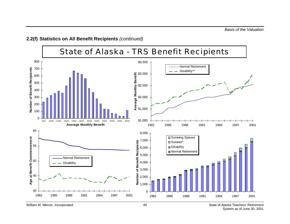

**2.2(f) Statistics on All Benefit Recipients** *(continued)*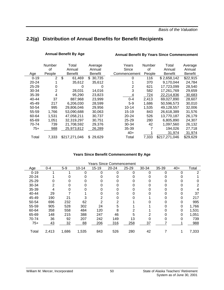### <span id="page-54-0"></span>**2.2(g) Distribution of Annual Benefits for Benefit Recipients**

#### **Annual Benefit By Age Annual Benefit By Years Since Commencement**

|           | Number         | Total          | Average        | Years        | <b>Number</b> | Total          | Average  |
|-----------|----------------|----------------|----------------|--------------|---------------|----------------|----------|
|           | of             | Annual         | Annual         | Since        | οf            | Annual         | Annual   |
| Age       | People         | <b>Benefit</b> | <b>Benefit</b> | Commencement | People        | <b>Benefit</b> | Benefit  |
| $0 - 19$  | 2              | \$<br>61,469   | 30,735<br>\$   | 0            | 116           | \$2,658,142    | \$22,915 |
| $20 - 24$ |                | 35,612         | 35,612         |              | 370           | 9,170,044      | 24,784   |
| $25 - 29$ | Ω              | O              |                | 2            | 621           | 17,723,099     | 28,540   |
| 30-34     | $\overline{2}$ | 28,031         | 14,016         | 3            | 582           | 17,261,769     | 29,659   |
| 35-39     | 4              | 95,290         | 23,823         | 4            | 724           | 22,214,836     | 30,683   |
| $40 - 44$ | 37             | 887,968        | 23,999         | $0 - 4$      | 2,413         | 69,027,890     | 28,607   |
| 45-49     | 217            | 6,206,030      | 28,599         | $5-9$        | 1,686         | 50,596,573     | 30,010   |
| 50-54     | 995            | 29,806,046     | 29,956         | $10 - 14$    | 1,535         | 49,128,557     | 32,006   |
| 55-59     | 1,766          | 53,090,688     | 30,063         | $15 - 19$    | 843           | 26,618,389     | 31,576   |
| 60-64     | 1.531          | 47,058,211     | 30,737         | $20 - 24$    | 526           | 13,770,187     | 26,179   |
| 65-69     | 1,051          | 32,319,297     | 30,751         | $25 - 29$    | 280           | 6,805,890      | 24,307   |
| 70-74     | 739            | 21,708,592     | 29,376         | 30-34        | 42            | 1,097,560      | 26,132   |
| $75+$     | 988            | 25,973,812     | 26,289         | 35-39        |               | 194,026        | 27,718   |
|           |                |                |                | $40+$        |               | 31,974         | 31,974   |
| Total     | 7,333          | \$217,271,046  | 29,629<br>\$   | Total        | 7,333         | \$217,271,046  | \$29,629 |

#### **Years Since Benefit Commencement By Age**

| <b>Years Since Commencement</b> |         |       |           |           |           |           |       |       |       |       |
|---------------------------------|---------|-------|-----------|-----------|-----------|-----------|-------|-------|-------|-------|
| Age                             | $0 - 4$ | $5-9$ | $10 - 14$ | $15 - 19$ | $20 - 24$ | $25 - 29$ | 30-34 | 35-39 | $40+$ | Total |
| $0 - 19$                        |         |       | 0         | 0         | ი         | 0         | 0     | 0     | 0     | 2     |
| $20 - 24$                       |         |       |           |           |           |           |       |       |       |       |
| $25 - 29$                       | 0       |       | 0         |           |           |           |       |       |       |       |
| 30-34                           | 2       |       |           |           |           |           |       |       |       | 2     |
| 35-39                           | 4       |       |           |           |           |           |       |       |       |       |
| 40-44                           | 29      |       |           |           |           |           |       |       |       | 37    |
| 45-49                           | 190     | 21    |           |           |           |           |       |       |       | 217   |
| 50-54                           | 696     | 232   | 62        | 2         |           |           |       |       |       | 995   |
| 55-59                           | 905     | 528   | 302       | 24        | 5         |           |       |       |       | 1,766 |
| 60-64                           | 358     | 558   | 484       | 120       | 8         |           |       |       |       | 1,531 |
| 65-69                           | 148     | 215   | 388       | 247       | 46        | 5         |       |       |       | 1,051 |
| 70-74                           | 36      | 92    | 207       | 242       | 149       | 13        |       |       |       | 739   |
| $75+$                           | 43      | 32    | 88        | 206       | 316       | 258       | 37    |       |       | 988   |
| Total                           | 2,413   | 1,686 | 1,535     | 843       | 526       | 280       | 42    |       |       | 7,333 |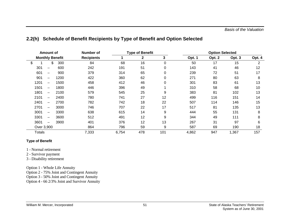|        | <b>Amount of</b>         |      | <b>Number of</b>  |       | <b>Type of Benefit</b> |             |        |        | <b>Option Selected</b> |        |  |
|--------|--------------------------|------|-------------------|-------|------------------------|-------------|--------|--------|------------------------|--------|--|
|        | <b>Monthly Benefit</b>   |      | <b>Recipients</b> |       | $\mathbf{2}$           | 3           | Opt. 1 | Opt. 2 | Opt. 3                 | Opt. 4 |  |
| \$     | \$                       | 300  | 84                | 68    | 16                     | $\mathbf 0$ | 50     | 17     | 15                     | 2      |  |
| 301    | —                        | 600  | 242               | 191   | 51                     | 0           | 143    | 41     | 46                     | 12     |  |
| 601    | —                        | 900  | 379               | 314   | 65                     | 0           | 239    | 72     | 51                     | 17     |  |
| 901    | $\overline{\phantom{0}}$ | 1200 | 422               | 360   | 62                     | 0           | 271    | 80     | 63                     | 8      |  |
| 1201   | —                        | 1500 | 458               | 412   | 46                     | 0           | 301    | 83     | 61                     | 13     |  |
| 1501   | $\overline{\phantom{0}}$ | 1800 | 446               | 396   | 49                     |             | 310    | 58     | 68                     | 10     |  |
| 1801   | $\overline{\phantom{0}}$ | 2100 | 579               | 545   | 25                     | 9           | 383    | 81     | 102                    | 13     |  |
| 2101   | $\overline{\phantom{0}}$ | 2400 | 780               | 741   | 27                     | 12          | 499    | 116    | 151                    | 14     |  |
| 2401   | $\overline{\phantom{0}}$ | 2700 | 782               | 742   | 18                     | 22          | 507    | 114    | 146                    | 15     |  |
| 2701   | $\overline{\phantom{0}}$ | 3000 | 746               | 707   | 22                     | 17          | 517    | 81     | 135                    | 13     |  |
| 3001   | -                        | 3300 | 638               | 615   | 14                     | 9           | 444    | 55     | 131                    | 8      |  |
| 3301   | $\overline{\phantom{0}}$ | 3600 | 512               | 491   | 12                     | 9           | 344    | 49     | 111                    | 8      |  |
| 3601   | $\overline{\phantom{0}}$ | 3900 | 401               | 376   | 12                     | 13          | 267    | 31     | 97                     | 6      |  |
|        | Over 3,900               |      | 864               | 796   | 59                     | 9           | 587    | 69     | 190                    | 18     |  |
| Totals |                          |      | 7,333             | 6,754 | 478                    | 101         | 4,862  | 947    | 1,367                  | 157    |  |

#### <span id="page-55-0"></span>**2.2(h) Schedule of Benefit Recipients by Type of Benefit and Option Selected**

#### **Type of Benefit**

- 1 Normal retirement
- 2 Survivor payment
- 3 Disability retirement

Option 1 - Whole Life Annuity

Option 2 - 75% Joint and Contingent Annuity

Option 3 - 50% Joint and Contingent Annuity

Option 4 - 66 2/3% Joint and Survivor Annuity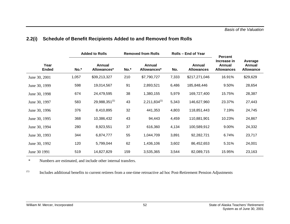|                      |       | <b>Added to Rolls</b>        |      | <b>Removed from Rolls</b>    |       | Rolls – End of Year         | <b>Percent</b>                             |                                       |  |
|----------------------|-------|------------------------------|------|------------------------------|-------|-----------------------------|--------------------------------------------|---------------------------------------|--|
| Year<br><b>Ended</b> | No.*  | <b>Annual</b><br>Allowances* | No.* | <b>Annual</b><br>Allowances* | No.   | Annual<br><b>Allowances</b> | Increase in<br>Annual<br><b>Allowances</b> | Average<br>Annual<br><b>Allowance</b> |  |
| June 30, 2001        | 1,057 | \$39,213,327                 | 210  | \$7,790,727                  | 7,333 | \$217,271,046               | 16.91%                                     | \$29,629                              |  |
| June 30, 1999        | 598   | 19,014,567                   | 91   | 2,893,521                    | 6,486 | 185,848,446                 | 9.50%                                      | 28,654                                |  |
| June 30, 1998        | 674   | 24,479,595                   | 38   | 1,380,155                    | 5,979 | 169,727,400                 | 15.75%                                     | 28,387                                |  |
| June 30, 1997        | 583   | $29,988,351^{(1)}$           | 43   | $2,211,834^{(1)}$            | 5,343 | 146,627,960                 | 23.37%                                     | 27,443                                |  |
| June 30, 1996        | 376   | 8,410,895                    | 32   | 441,353                      | 4,803 | 118,851,443                 | 7.19%                                      | 24,745                                |  |
| June 30, 1995        | 368   | 10,386,432                   | 43   | 94,443                       | 4,459 | 110,881,901                 | 10.23%                                     | 24,867                                |  |
| June 30, 1994        | 280   | 8,923,551                    | 37   | 616,360                      | 4,134 | 100,589,912                 | 9.00%                                      | 24,332                                |  |
| June 30, 1993        | 344   | 6,874,777                    | 55   | 1,044,709                    | 3,891 | 92,282,721                  | 6.74%                                      | 23,717                                |  |
| June 30, 1992        | 120   | 5,799,044                    | 62   | 1,436,106                    | 3,602 | 86,452,653                  | 5.31%                                      | 24,001                                |  |
| June 30 1991         | 519   | 14,827,829                   | 159  | 3,535,365                    | 3,544 | 82,089,715                  | 15.95%                                     | 23,163                                |  |

#### <span id="page-56-0"></span>**2.2(i) Schedule of Benefit Recipients Added to and Removed from Rolls**

\*Numbers are estimated, and include other internal transfers.

(1) Includes additional benefits to current retirees from a one-time retroactive ad hoc Post-Retirement Pension Adjustments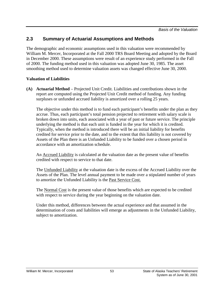## <span id="page-57-0"></span>**2.3 Summary of Actuarial Assumptions and Methods**

The demographic and economic assumptions used in this valuation were recommended by William M. Mercer, Incorporated at the Fall 2000 TRS Board Meeting and adopted by the Board in December 2000. These assumptions were result of an experience study performed in the Fall of 2000. The funding method used in this valuation was adopted June 30, 1985. The asset smoothing method used to determine valuation assets was changed effective June 30, 2000.

#### **Valuation of Liabilities**

**(A) Actuarial Method** – Projected Unit Credit. Liabilities and contributions shown in the report are computed using the Projected Unit Credit method of funding. Any funding surpluses or unfunded accrued liability is amortized over a rolling 25 years.

The objective under this method is to fund each participant's benefits under the plan as they accrue. Thus, each participant's total pension projected to retirement with salary scale is broken down into units, each associated with a year of past or future service. The principle underlying the method is that each unit is funded in the year for which it is credited. Typically, when the method is introduced there will be an initial liability for benefits credited for service prior to the date, and to the extent that this liability is not covered by Assets of the Plan there is an Unfunded Liability to be funded over a chosen period in accordance with an amortization schedule.

An Accrued Liability is calculated at the valuation date as the present value of benefits credited with respect to service to that date.

The Unfunded Liability at the valuation date is the excess of the Accrued Liability over the Assets of the Plan. The level annual payment to be made over a stipulated number of years to amortize the Unfunded Liability is the Past Service Cost.

The Normal Cost is the present value of those benefits which are expected to be credited with respect to service during the year beginning on the valuation date.

Under this method, differences between the actual experience and that assumed in the determination of costs and liabilities will emerge as adjustments in the Unfunded Liability, subject to amortization.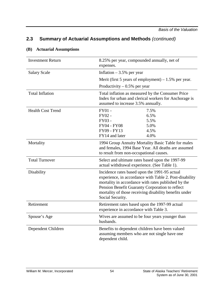| <b>Investment Return</b> | 8.25% per year, compounded annually, net of<br>expenses.                                                                                                                                                                                                                                         |
|--------------------------|--------------------------------------------------------------------------------------------------------------------------------------------------------------------------------------------------------------------------------------------------------------------------------------------------|
| <b>Salary Scale</b>      | Inflation $-3.5%$ per year                                                                                                                                                                                                                                                                       |
|                          | Merit (first 5 years of employment) $-1.5%$ per year.                                                                                                                                                                                                                                            |
|                          | Productivity $-0.5%$ per year                                                                                                                                                                                                                                                                    |
| <b>Total Inflation</b>   | Total inflation as measured by the Consumer Price<br>Index for urban and clerical workers for Anchorage is<br>assumed to increase 3.5% annually.                                                                                                                                                 |
| <b>Health Cost Trend</b> | FY01 -<br>7.5%<br>FY02 -<br>6.5%<br>FY03 -<br>5.5%<br><b>FY04 - FY08</b><br>5.0%<br>FY09 - FY13<br>4.5%<br>4.0%<br>FY14 and later                                                                                                                                                                |
| Mortality                | 1994 Group Annuity Mortality Basic Table for males<br>and females, 1994 Base Year. All deaths are assumed<br>to result from non-occupational causes.                                                                                                                                             |
| <b>Total Turnover</b>    | Select and ultimate rates based upon the 1997-99<br>actual withdrawal experience. (See Table 1).                                                                                                                                                                                                 |
| Disability               | Incidence rates based upon the 1991-95 actual<br>experience, in accordance with Table 2. Post-disability<br>mortality in accordance with rates published by the<br>Pension Benefit Guaranty Corporation to reflect<br>mortality of those receiving disability benefits under<br>Social Security. |
| Retirement               | Retirement rates based upon the 1997-99 actual<br>experience in accordance with Table 3.                                                                                                                                                                                                         |
| Spouse's Age             | Wives are assumed to be four years younger than<br>husbands.                                                                                                                                                                                                                                     |
| Dependent Children       | Benefits to dependent children have been valued<br>assuming members who are not single have one<br>dependent child.                                                                                                                                                                              |

#### **(B) Actuarial Assumptions**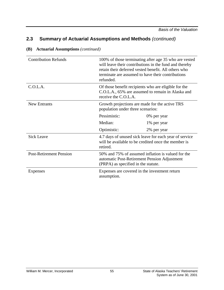| <b>Contribution Refunds</b>    | 100% of those terminating after age 35 who are vested<br>will leave their contributions in the fund and thereby<br>retain their deferred vested benefit. All others who<br>terminate are assumed to have their contributions<br>refunded. |                                                                                                               |  |  |  |
|--------------------------------|-------------------------------------------------------------------------------------------------------------------------------------------------------------------------------------------------------------------------------------------|---------------------------------------------------------------------------------------------------------------|--|--|--|
| C.O.L.A.                       | Of those benefit recipients who are eligible for the<br>C.O.L.A., 65% are assumed to remain in Alaska and<br>receive the C.O.L.A.                                                                                                         |                                                                                                               |  |  |  |
| New Entrants                   | Growth projections are made for the active TRS<br>population under three scenarios:                                                                                                                                                       |                                                                                                               |  |  |  |
|                                | Pessimistic:                                                                                                                                                                                                                              | 0% per year                                                                                                   |  |  |  |
|                                | Median:                                                                                                                                                                                                                                   | 1% per year                                                                                                   |  |  |  |
|                                | Optimistic:                                                                                                                                                                                                                               | 2% per year                                                                                                   |  |  |  |
| <b>Sick Leave</b>              | retired.                                                                                                                                                                                                                                  | 4.7 days of unused sick leave for each year of service<br>will be available to be credited once the member is |  |  |  |
| <b>Post-Retirement Pension</b> | 50% and 75% of assumed inflation is valued for the<br>automatic Post-Retirement Pension Adjustment<br>(PRPA) as specified in the statute.                                                                                                 |                                                                                                               |  |  |  |
| Expenses                       | Expenses are covered in the investment return<br>assumption.                                                                                                                                                                              |                                                                                                               |  |  |  |

#### **(B) Actuarial Assumptions** *(continued)*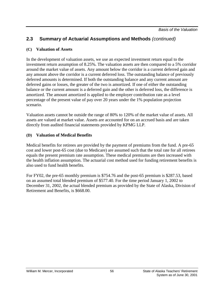#### **(C) Valuation of Assets**

In the development of valuation assets, we use an expected investment return equal to the investment return assumption of 8.25%. The valuation assets are then compared to a 5% corridor around the market value of assets. Any amount below the corridor is a current deferred gain and any amount above the corridor is a current deferred loss. The outstanding balance of previously deferred amounts is determined. If both the outstanding balance and any current amount are deferred gains or losses, the greater of the two is amortized. If one of either the outstanding balance or the current amount is a deferred gain and the other is deferred loss, the difference is amortized. The amount amortized is applied to the employer contribution rate as a level percentage of the present value of pay over 20 years under the 1% population projection scenario.

Valuation assets cannot be outside the range of 80% to 120% of the market value of assets. All assets are valued at market value. Assets are accounted for on an accrued basis and are taken directly from audited financial statements provided by KPMG LLP.

#### **(D) Valuation of Medical Benefits**

Medical benefits for retirees are provided by the payment of premiums from the fund. A pre-65 cost and lower post-65 cost (due to Medicare) are assumed such that the total rate for all retirees equals the present premium rate assumption. These medical premiums are then increased with the health inflation assumption. The actuarial cost method used for funding retirement benefits is also used to fund health benefits.

For FY02, the pre-65 monthly premium is \$754.76 and the post-65 premium is \$287.53, based on an assumed total blended premium of \$577.40. For the time period January 1, 2002 to December 31, 2002, the actual blended premium as provided by the State of Alaska, Division of Retirement and Benefits, is \$668.00.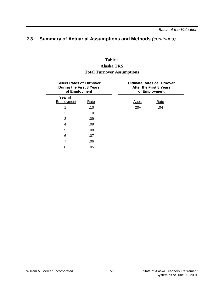# **Table 1**

#### **Alaska TRS Total Turnover Assumptions**

| <b>Select Rates of Turnover</b><br><b>During the First 8 Years</b><br>of Employment |      |  | <b>Ultimate Rates of Turnover</b><br>After the First 8 Years<br>of Employment |      |  |  |  |
|-------------------------------------------------------------------------------------|------|--|-------------------------------------------------------------------------------|------|--|--|--|
| Year of                                                                             |      |  |                                                                               |      |  |  |  |
| Employment                                                                          | Rate |  | <b>Ages</b>                                                                   | Rate |  |  |  |
|                                                                                     | .10  |  | $20+$                                                                         | .04  |  |  |  |
| 2                                                                                   | .10  |  |                                                                               |      |  |  |  |
| 3                                                                                   | .09  |  |                                                                               |      |  |  |  |
| 4                                                                                   | .09  |  |                                                                               |      |  |  |  |
| 5                                                                                   | .08  |  |                                                                               |      |  |  |  |
| 6                                                                                   | .07  |  |                                                                               |      |  |  |  |
| 7                                                                                   | .06  |  |                                                                               |      |  |  |  |
| 8                                                                                   | .05  |  |                                                                               |      |  |  |  |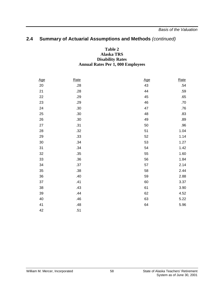#### **Table 2 Alaska TRS Disability Rates Annual Rates Per 1, 000 Employees**

| Age    | Rate | <u>Age</u> | Rate |
|--------|------|------------|------|
| $20\,$ | .28  | 43         | .54  |
| 21     | .28  | 44         | .59  |
| 22     | .29  | 45         | .65  |
| 23     | .29  | 46         | .70  |
| 24     | .30  | 47         | .76  |
| 25     | .30  | 48         | .83  |
| 26     | .30  | 49         | .89  |
| 27     | .31  | 50         | .96  |
| 28     | .32  | 51         | 1.04 |
| 29     | .33  | 52         | 1.14 |
| 30     | .34  | 53         | 1.27 |
| 31     | .34  | 54         | 1.42 |
| 32     | .35  | 55         | 1.60 |
| 33     | .36  | 56         | 1.84 |
| 34     | .37  | 57         | 2.14 |
| 35     | .38  | 58         | 2.44 |
| 36     | .40  | 59         | 2.88 |
| 37     | .41  | 60         | 3.37 |
| 38     | .43  | 61         | 3.90 |
| 39     | .44  | 62         | 4.52 |
| 40     | .46  | 63         | 5.22 |
| 41     | .48  | 64         | 5.96 |
| 42     | .51  |            |      |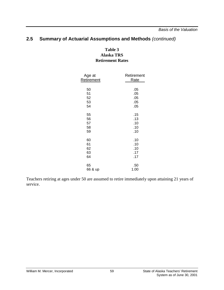*Basis of the Valuation*

#### **2.5 Summary of Actuarial Assumptions and Methods** *(continued)*

#### **Table 3 Alaska TRS Retirement Rates**

| Age at     | Retirement  |  |  |  |
|------------|-------------|--|--|--|
| Retirement | <b>Rate</b> |  |  |  |
|            |             |  |  |  |
| 50         | .05         |  |  |  |
| 51         | .05         |  |  |  |
| 52         | .05         |  |  |  |
| 53         | .05         |  |  |  |
| 54         | .05         |  |  |  |
|            |             |  |  |  |
| 55         | .15         |  |  |  |
| 56         | .13         |  |  |  |
| 57         | .10         |  |  |  |
| 58         | .10         |  |  |  |
| 59         | .10         |  |  |  |
|            |             |  |  |  |
| 60         | .10         |  |  |  |
| 61         | .10         |  |  |  |
| 62         | .10         |  |  |  |
| 63         | .17         |  |  |  |
| 64         | .17         |  |  |  |
| 65         | .50         |  |  |  |
|            |             |  |  |  |
| 66 & up    | 1.00        |  |  |  |

Teachers retiring at ages under 50 are assumed to retire immediately upon attaining 21 years of service.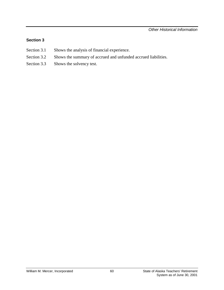#### **Section 3**

- Section 3.1 Shows the analysis of financial experience.
- Section 3.2 Shows the summary of accrued and unfunded accrued liabilities.
- Section 3.3 Shows the solvency test.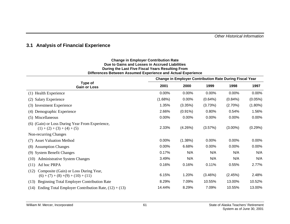#### <span id="page-65-0"></span>**3.1 Analysis of Financial Experience**

#### **Change in Employer Contribution Rate Due to Gains and Losses in Accrued Liabilities During the Last Five Fiscal Years Resulting From Differences Between Assumed Experience and Actual Experience**

|                                                                                        | <b>Change in Employer Contribution Rate During Fiscal Year</b> |            |         |            |            |  |
|----------------------------------------------------------------------------------------|----------------------------------------------------------------|------------|---------|------------|------------|--|
| Type of<br><b>Gain or Loss</b>                                                         | 2001                                                           | 2000       | 1999    | 1998       | 1997       |  |
| (1) Health Experience                                                                  | $0.00\%$                                                       | 0.00%      | 0.00%   | 0.00%      | 0.00%      |  |
| <b>Salary Experience</b><br>(2)                                                        | (1.68%)                                                        | 0.00%      | (0.64%) | $(0.84\%)$ | (0.05%)    |  |
| <b>Investment Experience</b><br>(3)                                                    | 1.35%                                                          | (3.35%)    | (3.73%) | $(2.70\%)$ | $(1.80\%)$ |  |
| Demographic Experience<br>(4)                                                          | 2.66%                                                          | $(0.91\%)$ | 0.80%   | 0.54%      | 1.56%      |  |
| (5) Miscellaneous                                                                      | 0.00%                                                          | 0.00%      | 0.00%   | 0.00%      | 0.00%      |  |
| (6) (Gain) or Loss During Year From Experience,<br>$(1) + (2) + (3) + (4) + (5)$       | 2.33%                                                          | (4.26%)    | (3.57%) | $(3.00\%)$ | (0.29%)    |  |
| Non-recurring Changes                                                                  |                                                                |            |         |            |            |  |
| (7) Asset Valuation Method                                                             | 0.00%                                                          | $(1.38\%)$ | 0.00%   | 0.00%      | 0.00%      |  |
| (8) Assumption Changes                                                                 | 0.00%                                                          | 6.68%      | 0.00%   | 0.00%      | 0.00%      |  |
| (9) System Benefit Changes                                                             | 0.17%                                                          | N/A        | N/A     | N/A        | N/A        |  |
| (10)<br><b>Administrative System Changes</b>                                           | 3.49%                                                          | N/A        | N/A     | N/A        | N/A        |  |
| Ad hoc PRPA<br>(11)                                                                    | 0.16%                                                          | 0.16%      | 0.11%   | 0.55%      | 2.77%      |  |
| Composite (Gain) or Loss During Year,<br>(12)<br>$(6) + (7) + (8) + (9) + (10) + (11)$ | 6.15%                                                          | 1.20%      | (3.46%) | (2.45%)    | 2.48%      |  |
| <b>Beginning Total Employer Contribution Rate</b><br>(13)                              | 8.29%                                                          | 7.09%      | 10.55%  | 13.00%     | 10.52%     |  |
| (14) Ending Total Employer Contribution Rate, $(12) + (13)$                            | 14.44%                                                         | 8.29%      | 7.09%   | 10.55%     | 13.00%     |  |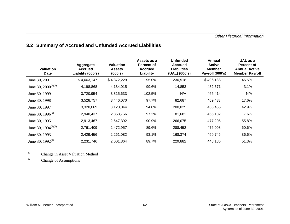### <span id="page-66-0"></span>**3.2 Summary of Accrued and Unfunded Accrued Liabilities**

| <b>Valuation</b><br><b>Date</b> | Aggregate<br><b>Accrued</b><br>Liability (000's) | <b>Valuation</b><br><b>Assets</b><br>(000's) | Assets as a<br><b>Percent of</b><br><b>Accrued</b><br>Liability | <b>Unfunded</b><br><b>Accrued</b><br><b>Liabilities</b><br>(UAL) (000's) | Annual<br><b>Active</b><br><b>Member</b><br>Payroll (000's) | UAL as a<br>Percent of<br><b>Annual Active</b><br><b>Member Payroll</b> |
|---------------------------------|--------------------------------------------------|----------------------------------------------|-----------------------------------------------------------------|--------------------------------------------------------------------------|-------------------------------------------------------------|-------------------------------------------------------------------------|
| June 30, 2001                   | \$4,603,147                                      | \$4,372,229                                  | 95.0%                                                           | 230,918                                                                  | \$496,188                                                   | 46.5%                                                                   |
| June 30, $2000^{(1)(2)}$        | 4,198,868                                        | 4,184,015                                    | 99.6%                                                           | 14,853                                                                   | 482,571                                                     | 3.1%                                                                    |
| June 30, 1999                   | 3,720,954                                        | 3,815,633                                    | 102.5%                                                          | N/A                                                                      | 466,414                                                     | N/A                                                                     |
| June 30, 1998                   | 3,528,757                                        | 3,446,070                                    | 97.7%                                                           | 82,687                                                                   | 469,433                                                     | 17.6%                                                                   |
| June 30, 1997                   | 3,320,069                                        | 3,120,044                                    | 94.0%                                                           | 200,025                                                                  | 466,455                                                     | 42.9%                                                                   |
| June 30, 1996 <sup>(2)</sup>    | 2,940,437                                        | 2,858,756                                    | 97.2%                                                           | 81,681                                                                   | 465,182                                                     | 17.6%                                                                   |
| June 30, 1995                   | 2,913,467                                        | 2,647,392                                    | 90.9%                                                           | 266,075                                                                  | 477,205                                                     | 55.8%                                                                   |
| June 30, 1994 $(1)(2)$          | 2,761,409                                        | 2,472,957                                    | 89.6%                                                           | 288,452                                                                  | 476,098                                                     | 60.6%                                                                   |
| June 30, 1993                   | 2,429,456                                        | 2,261,082                                    | 93.1%                                                           | 168,374                                                                  | 459,746                                                     | 36.6%                                                                   |
| June 30, $1992^{(1)}$           | 2,231,746                                        | 2,001,864                                    | 89.7%                                                           | 229,882                                                                  | 448,186                                                     | 51.3%                                                                   |

(1) Change in Asset Valuation Method

(2) Change of Assumptions